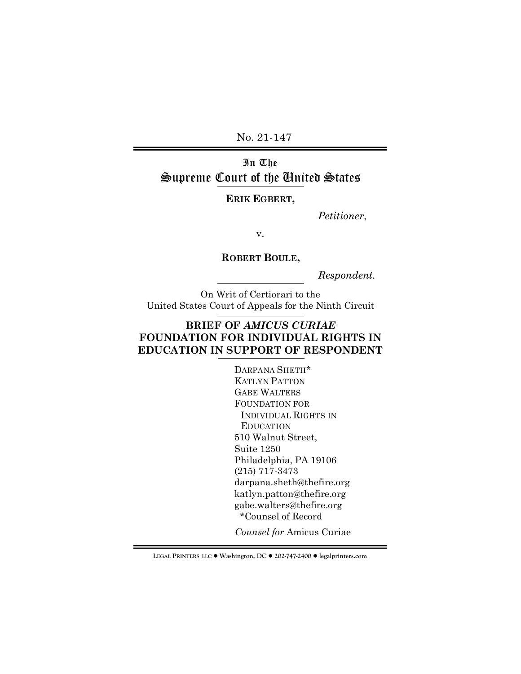No. 21-147

# In The Supreme Court of the United States

**ERIK EGBERT,** 

*Petitioner*,

v.

**ROBERT BOULE,** 

*Respondent.*

On Writ of Certiorari to the United States Court of Appeals for the Ninth Circuit

# **BRIEF OF** *AMICUS CURIAE* **FOUNDATION FOR INDIVIDUAL RIGHTS IN EDUCATION IN SUPPORT OF RESPONDENT**

DARPANA SHETH\* KATLYN PATTON GABE WALTERS FOUNDATION FOR INDIVIDUAL RIGHTS IN EDUCATION 510 Walnut Street, Suite 1250 Philadelphia, PA 19106 (215) 717-3473 darpana.sheth@thefire.org katlyn.patton@thefire.org gabe.walters@thefire.org \*Counsel of Record

*Counsel for* Amicus Curiae

**LEGAL PRINTERS LLC** ! **Washington, DC** ! **202-747-2400** ! **legalprinters.com**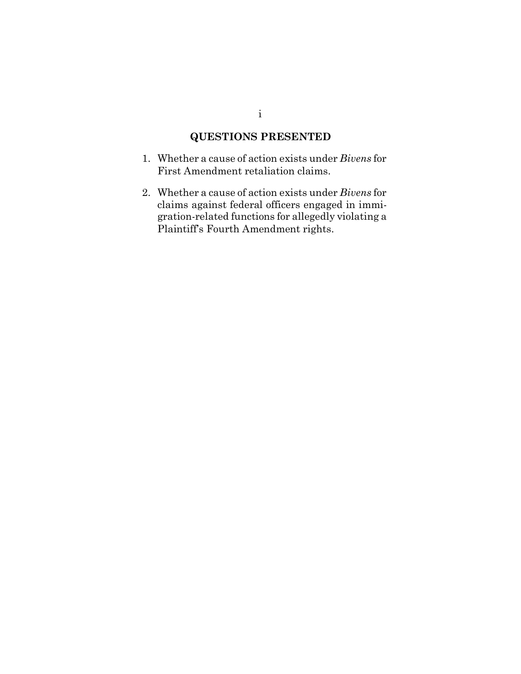# **QUESTIONS PRESENTED**

- <span id="page-1-0"></span>1. Whether a cause of action exists under *Bivens* for First Amendment retaliation claims.
- 2. Whether a cause of action exists under *Bivens* for claims against federal officers engaged in immigration-related functions for allegedly violating a Plaintiff's Fourth Amendment rights.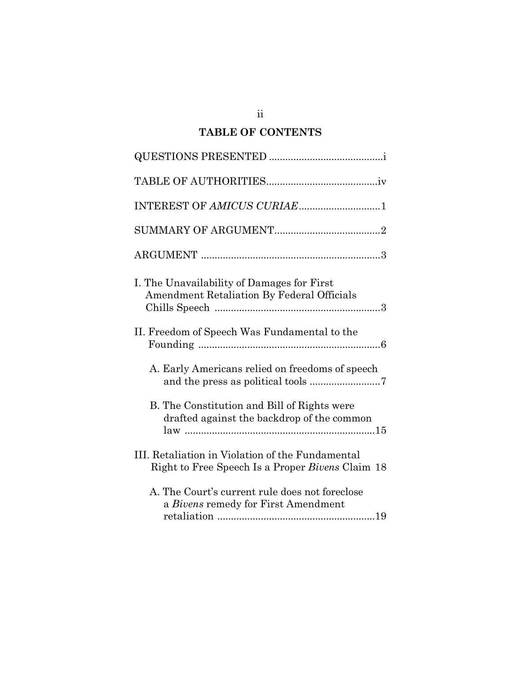# **TABLE OF CONTENTS**

| INTEREST OF AMICUS CURIAE1                                                                           |
|------------------------------------------------------------------------------------------------------|
|                                                                                                      |
|                                                                                                      |
| I. The Unavailability of Damages for First<br><b>Amendment Retaliation By Federal Officials</b>      |
| II. Freedom of Speech Was Fundamental to the                                                         |
| A. Early Americans relied on freedoms of speech                                                      |
| B. The Constitution and Bill of Rights were<br>drafted against the backdrop of the common            |
| III. Retaliation in Violation of the Fundamental<br>Right to Free Speech Is a Proper Bivens Claim 18 |
| A. The Court's current rule does not foreclose<br>a Bivens remedy for First Amendment                |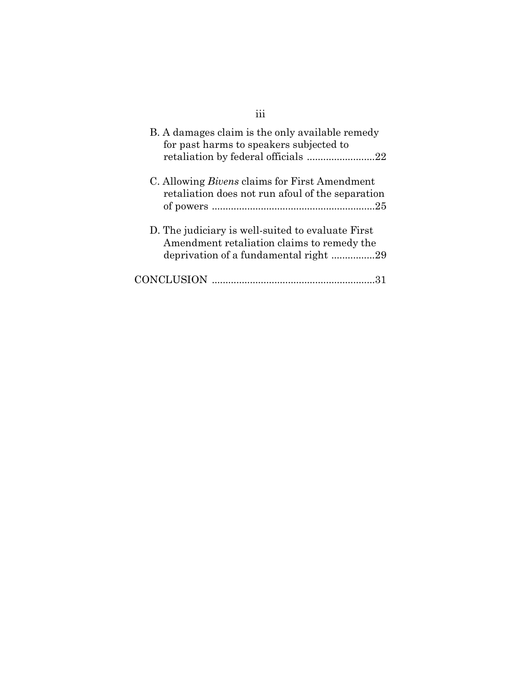<span id="page-3-0"></span>

| B. A damages claim is the only available remedy<br>for past harms to speakers subjected to                                               |
|------------------------------------------------------------------------------------------------------------------------------------------|
| C. Allowing <i>Bivens</i> claims for First Amendment<br>retaliation does not run afoul of the separation                                 |
| D. The judiciary is well-suited to evaluate First<br>Amendment retaliation claims to remedy the<br>deprivation of a fundamental right 29 |
| CONCLUSION                                                                                                                               |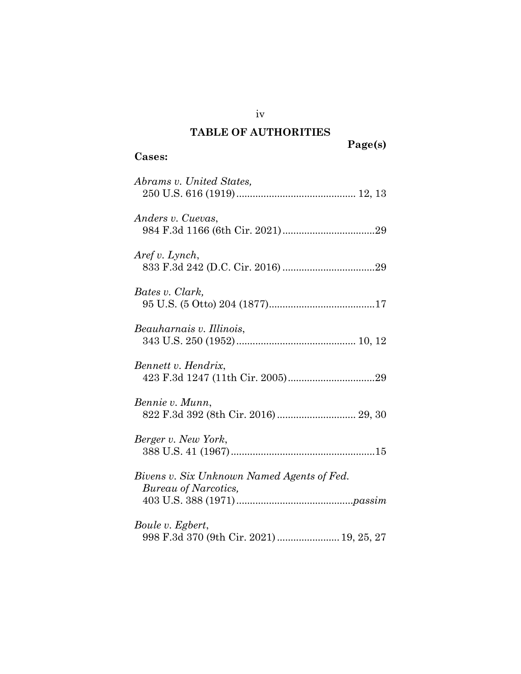# **TABLE OF AUTHORITIES**

# **Cases:**

# **Page(s)**

| Abrams v. United States,                                           |
|--------------------------------------------------------------------|
| Anders v. Cuevas,                                                  |
| Aref v. Lynch,                                                     |
| Bates v. Clark,                                                    |
| Beauharnais v. Illinois,                                           |
| Bennett v. Hendrix,                                                |
| Bennie v. Munn,<br>822 F.3d 392 (8th Cir. 2016)  29, 30            |
| Berger v. New York,                                                |
| Bivens v. Six Unknown Named Agents of Fed.<br>Bureau of Narcotics, |
| Boule v. Egbert,<br>998 F.3d 370 (9th Cir. 2021)  19, 25, 27       |

iv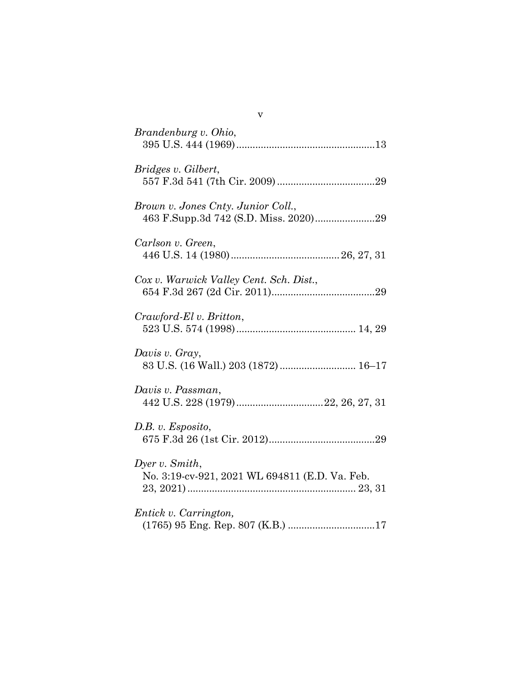| Brandenburg v. Ohio,                                             |
|------------------------------------------------------------------|
| Bridges v. Gilbert,                                              |
| Brown v. Jones Cnty. Junior Coll.,                               |
| Carlson v. Green,                                                |
| Cox v. Warwick Valley Cent. Sch. Dist.,                          |
| Crawford-El v. Britton,                                          |
| Davis v. Gray,<br>83 U.S. (16 Wall.) 203 (1872)  16-17           |
| Davis v. Passman,                                                |
| D.B. v. Esposito,                                                |
| Dyer v. Smith,<br>No. 3:19-cv-921, 2021 WL 694811 (E.D. Va. Feb. |
| Entick v. Carrington,                                            |

v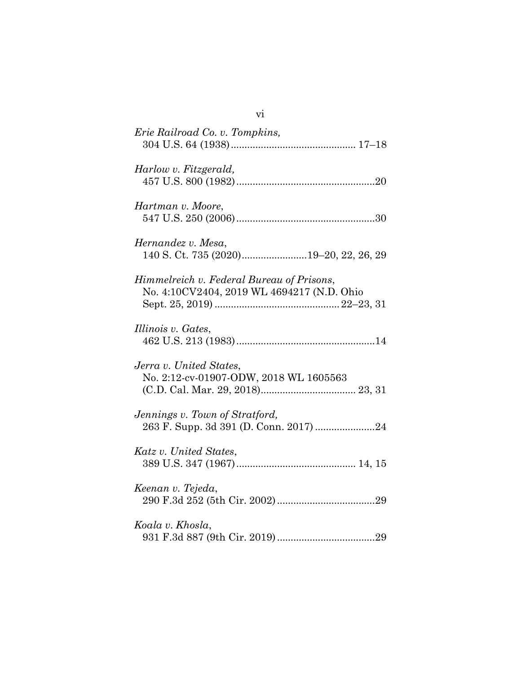| Erie Railroad Co. v. Tompkins,                                                          |
|-----------------------------------------------------------------------------------------|
| Harlow v. Fitzgerald,                                                                   |
| Hartman v. Moore,                                                                       |
| Hernandez v. Mesa,<br>140 S. Ct. 735 (2020)19–20, 22, 26, 29                            |
| Himmelreich v. Federal Bureau of Prisons,<br>No. 4:10CV2404, 2019 WL 4694217 (N.D. Ohio |
| Illinois v. Gates,                                                                      |
| Jerra v. United States,<br>No. 2:12-cv-01907-ODW, 2018 WL 1605563                       |
| Jennings v. Town of Stratford,                                                          |
| Katz v. United States,                                                                  |
| Keenan v. Tejeda,                                                                       |
| Koala v. Khosla,                                                                        |

vi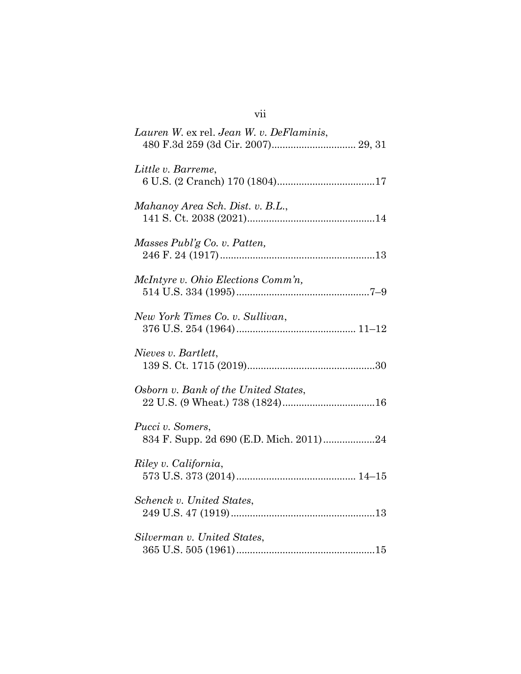| Lauren W. ex rel. Jean W. v. DeFlaminis,                    |
|-------------------------------------------------------------|
| Little v. Barreme,                                          |
| Mahanoy Area Sch. Dist. v. B.L.,                            |
| Masses Publ'g Co. v. Patten,                                |
| McIntyre v. Ohio Elections Comm'n,                          |
| New York Times Co. v. Sullivan,                             |
| Nieves v. Bartlett,                                         |
| Osborn v. Bank of the United States,                        |
| Pucci v. Somers,<br>834 F. Supp. 2d 690 (E.D. Mich. 2011)24 |
| Riley v. California,                                        |
| Schenck v. United States,                                   |
| Silverman v. United States,                                 |

| ×<br>٠ | × |  |
|--------|---|--|
|        |   |  |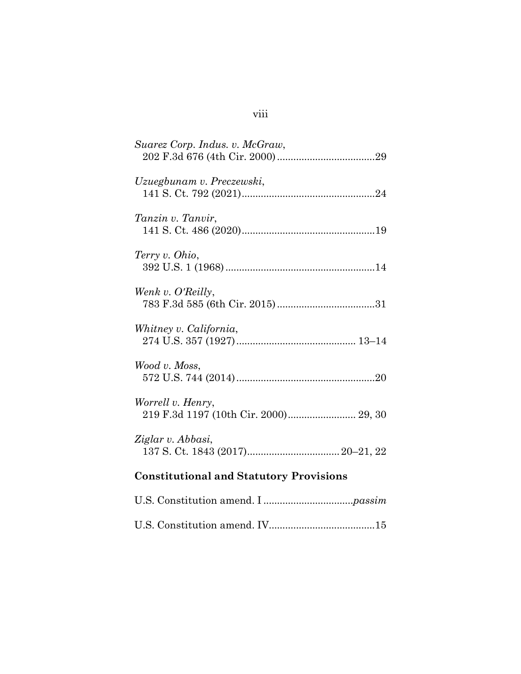| Suarez Corp. Indus. v. McGraw,                             |
|------------------------------------------------------------|
| Uzuegbunam v. Preczewski,                                  |
| Tanzin v. Tanvir,                                          |
| Terry v. Ohio,                                             |
| Wenk v. O'Reilly,                                          |
| Whitney v. California,                                     |
| Wood v. Moss,                                              |
| Worrell v. Henry,<br>219 F.3d 1197 (10th Cir. 2000) 29, 30 |
| Ziglar v. Abbasi,                                          |
| <b>Constitutional and Statutory Provisions</b>             |
|                                                            |

U.S. Constitution amend. IV.......................................15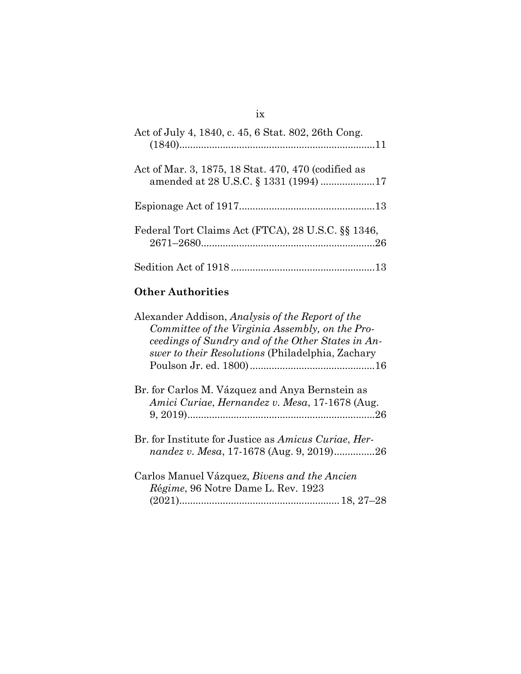# Act of July 4, 1840, c. 45, 6 Stat. 802, 26th Cong. (1840)........................................................................11 Act of Mar. 3, 1875, 18 Stat. 470, 470 (codified as amended at 28 U.S.C. § 1331 (1994) ....................17 Espionage Act of 1917..................................................13 Federal Tort Claims Act (FTCA), 28 U.S.C. §§ 1346, 2671–2680................................................................26 Sedition Act of 1918 .....................................................13

# **Other Authorities**

| Alexander Addison, Analysis of the Report of the<br>Committee of the Virginia Assembly, on the Pro-<br>ceedings of Sundry and of the Other States in An-<br>swer to their Resolutions (Philadelphia, Zachary |
|--------------------------------------------------------------------------------------------------------------------------------------------------------------------------------------------------------------|
| Br. for Carlos M. Vázquez and Anya Bernstein as<br>Amici Curiae, Hernandez v. Mesa, 17-1678 (Aug.<br>.26                                                                                                     |
| Br. for Institute for Justice as <i>Amicus Curiae</i> , <i>Her-</i><br>nandez v. Mesa, 17-1678 (Aug. 9, 2019)26                                                                                              |
| Carlos Manuel Vázquez, <i>Bivens and the Ancien</i><br><i>Régime</i> , 96 Notre Dame L. Rev. 1923                                                                                                            |

#### ix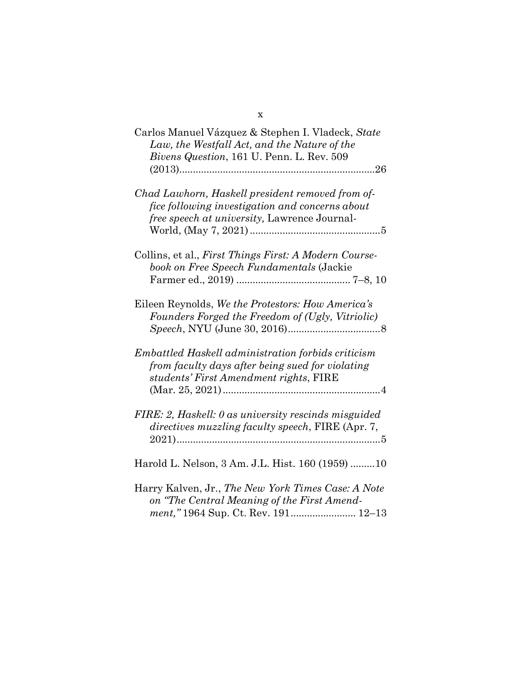| Carlos Manuel Vázquez & Stephen I. Vladeck, State<br>Law, the Westfall Act, and the Nature of the<br>Bivens Question, 161 U. Penn. L. Rev. 509          |
|---------------------------------------------------------------------------------------------------------------------------------------------------------|
| Chad Lawhorn, Haskell president removed from of-<br>fice following investigation and concerns about<br>free speech at university, Lawrence Journal-     |
| Collins, et al., First Things First: A Modern Course-<br>book on Free Speech Fundamentals (Jackie                                                       |
| Eileen Reynolds, We the Protestors: How America's<br>Founders Forged the Freedom of (Ugly, Vitriolic)                                                   |
| <i>Embattled Haskell administration forbids criticism</i><br>from faculty days after being sued for violating<br>students' First Amendment rights, FIRE |
| FIRE: 2, Haskell: 0 as university rescinds misguided<br>directives muzzling faculty speech, FIRE (Apr. 7,                                               |
| Harold L. Nelson, 3 Am. J.L. Hist. 160 (1959) 10                                                                                                        |
| Harry Kalven, Jr., The New York Times Case: A Note<br>on "The Central Meaning of the First Amend-<br>ment,"1964 Sup. Ct. Rev. 191 12-13                 |

x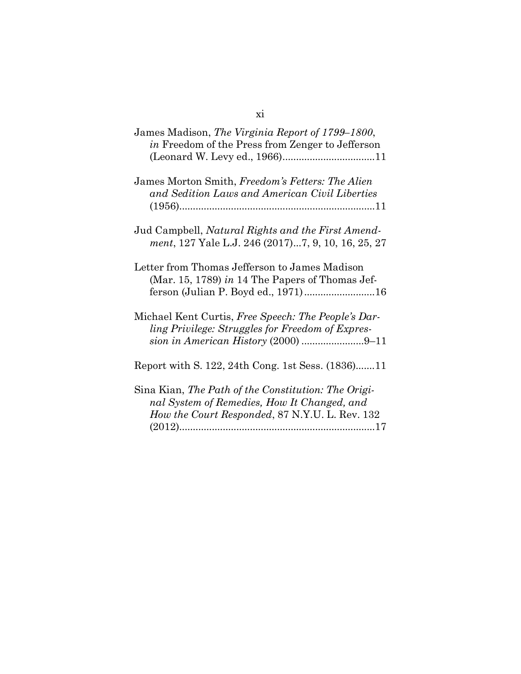# James Madison, *The Virginia Report of 1799–1800*, *in* Freedom of the Press from Zenger to Jefferson (Leonard W. Levy ed., 1966)..................................11 James Morton Smith, *Freedom's Fetters: The Alien and Sedition Laws and American Civil Liberties* (1956)........................................................................11

Report with S. 122, 24th Cong. 1st Sess. (1836).......11

| Sina Kian, The Path of the Constitution: The Origi- |  |
|-----------------------------------------------------|--|
| nal System of Remedies, How It Changed, and         |  |
| How the Court Responded, 87 N.Y.U. L. Rev. 132      |  |
|                                                     |  |

#### xi

Jud Campbell, *Natural Rights and the First Amendment*, 127 Yale L.J. 246 (2017)...7, 9, 10, 16, 25, 27

Letter from Thomas Jefferson to James Madison (Mar. 15, 1789) *in* 14 The Papers of Thomas Jefferson (Julian P. Boyd ed., 1971)..........................16

Michael Kent Curtis, *Free Speech: The People's Darling Privilege: Struggles for Freedom of Expression in American History* (2000) .......................9–11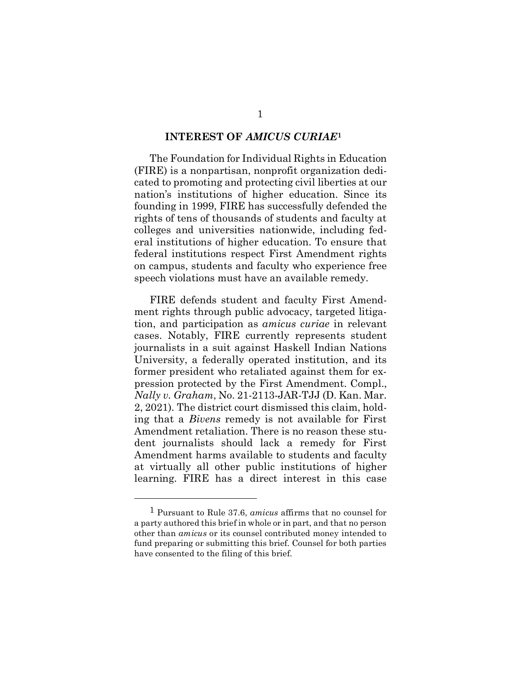#### **INTEREST OF** *AMICUS CURIAE***[1](#page-12-1)**

<span id="page-12-0"></span>The Foundation for Individual Rights in Education (FIRE) is a nonpartisan, nonprofit organization dedicated to promoting and protecting civil liberties at our nation's institutions of higher education. Since its founding in 1999, FIRE has successfully defended the rights of tens of thousands of students and faculty at colleges and universities nationwide, including federal institutions of higher education. To ensure that federal institutions respect First Amendment rights on campus, students and faculty who experience free speech violations must have an available remedy.

FIRE defends student and faculty First Amendment rights through public advocacy, targeted litigation, and participation as *amicus curiae* in relevant cases. Notably, FIRE currently represents student journalists in a suit against Haskell Indian Nations University, a federally operated institution, and its former president who retaliated against them for expression protected by the First Amendment. Compl., *Nally v. Graham*, No. 21-2113-JAR-TJJ (D. Kan. Mar. 2, 2021). The district court dismissed this claim, holding that a *Bivens* remedy is not available for First Amendment retaliation. There is no reason these student journalists should lack a remedy for First Amendment harms available to students and faculty at virtually all other public institutions of higher learning. FIRE has a direct interest in this case

<span id="page-12-1"></span><sup>1</sup> Pursuant to Rule 37.6, *amicus* affirms that no counsel for a party authored this brief in whole or in part, and that no person other than *amicus* or its counsel contributed money intended to fund preparing or submitting this brief. Counsel for both parties have consented to the filing of this brief.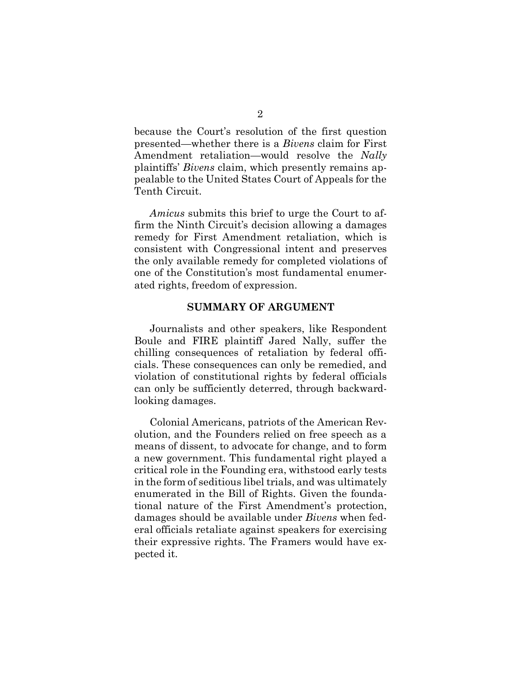because the Court's resolution of the first question presented—whether there is a *Bivens* claim for First Amendment retaliation—would resolve the *Nally*  plaintiffs' *Bivens* claim, which presently remains appealable to the United States Court of Appeals for the Tenth Circuit.

*Amicus* submits this brief to urge the Court to affirm the Ninth Circuit's decision allowing a damages remedy for First Amendment retaliation, which is consistent with Congressional intent and preserves the only available remedy for completed violations of one of the Constitution's most fundamental enumerated rights, freedom of expression.

#### **SUMMARY OF ARGUMENT**

<span id="page-13-0"></span>Journalists and other speakers, like Respondent Boule and FIRE plaintiff Jared Nally, suffer the chilling consequences of retaliation by federal officials. These consequences can only be remedied, and violation of constitutional rights by federal officials can only be sufficiently deterred, through backwardlooking damages.

Colonial Americans, patriots of the American Revolution, and the Founders relied on free speech as a means of dissent, to advocate for change, and to form a new government. This fundamental right played a critical role in the Founding era, withstood early tests in the form of seditious libel trials, and was ultimately enumerated in the Bill of Rights. Given the foundational nature of the First Amendment's protection, damages should be available under *Bivens* when federal officials retaliate against speakers for exercising their expressive rights. The Framers would have expected it.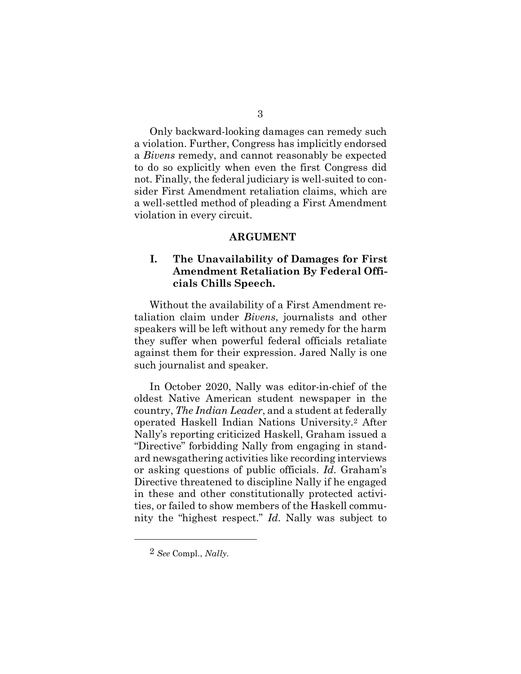Only backward-looking damages can remedy such a violation. Further, Congress has implicitly endorsed a *Bivens* remedy, and cannot reasonably be expected to do so explicitly when even the first Congress did not. Finally, the federal judiciary is well-suited to consider First Amendment retaliation claims, which are a well-settled method of pleading a First Amendment violation in every circuit.

#### **ARGUMENT**

## **I. The Unavailability of Damages for First Amendment Retaliation By Federal Officials Chills Speech.**

Without the availability of a First Amendment retaliation claim under *Bivens*, journalists and other speakers will be left without any remedy for the harm they suffer when powerful federal officials retaliate against them for their expression. Jared Nally is one such journalist and speaker.

In October 2020, Nally was editor-in-chief of the oldest Native American student newspaper in the country, *The Indian Leader*, and a student at federally operated Haskell Indian Nations University.[2](#page-14-0) After Nally's reporting criticized Haskell, Graham issued a "Directive" forbidding Nally from engaging in standard newsgathering activities like recording interviews or asking questions of public officials. *Id.* Graham's Directive threatened to discipline Nally if he engaged in these and other constitutionally protected activities, or failed to show members of the Haskell community the "highest respect." *Id.* Nally was subject to

<span id="page-14-0"></span><sup>2</sup> *See* Compl., *Nally*.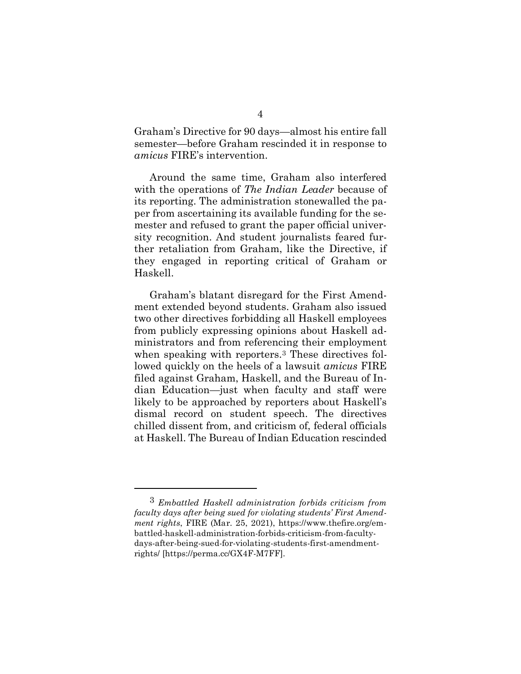Graham's Directive for 90 days—almost his entire fall semester—before Graham rescinded it in response to *amicus* FIRE's intervention.

Around the same time, Graham also interfered with the operations of *The Indian Leader* because of its reporting. The administration stonewalled the paper from ascertaining its available funding for the semester and refused to grant the paper official university recognition. And student journalists feared further retaliation from Graham, like the Directive, if they engaged in reporting critical of Graham or Haskell.

Graham's blatant disregard for the First Amendment extended beyond students. Graham also issued two other directives forbidding all Haskell employees from publicly expressing opinions about Haskell administrators and from referencing their employment when speaking with reporters.[3](#page-15-0) These directives followed quickly on the heels of a lawsuit *amicus* FIRE filed against Graham, Haskell, and the Bureau of Indian Education—just when faculty and staff were likely to be approached by reporters about Haskell's dismal record on student speech. The directives chilled dissent from, and criticism of, federal officials at Haskell. The Bureau of Indian Education rescinded

<span id="page-15-0"></span><sup>3</sup> *Embattled Haskell administration forbids criticism from faculty days after being sued for violating students' First Amendment rights*, FIRE (Mar. 25, 2021), https://www.thefire.org/embattled-haskell-administration-forbids-criticism-from-facultydays-after-being-sued-for-violating-students-first-amendmentrights/ [https://perma.cc/GX4F-M7FF].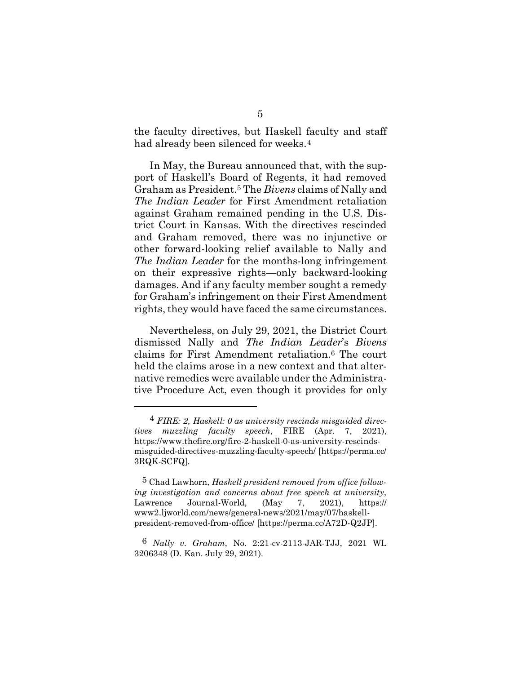the faculty directives, but Haskell faculty and staff had already been silenced for weeks.<sup>[4](#page-16-0)</sup>

In May, the Bureau announced that, with the support of Haskell's Board of Regents, it had removed Graham as President.[5](#page-16-1) The *Bivens* claims of Nally and *The Indian Leader* for First Amendment retaliation against Graham remained pending in the U.S. District Court in Kansas. With the directives rescinded and Graham removed, there was no injunctive or other forward-looking relief available to Nally and *The Indian Leader* for the months-long infringement on their expressive rights—only backward-looking damages. And if any faculty member sought a remedy for Graham's infringement on their First Amendment rights, they would have faced the same circumstances.

Nevertheless, on July 29, 2021, the District Court dismissed Nally and *The Indian Leader*'s *Bivens* claims for First Amendment retaliation.[6](#page-16-2) The court held the claims arose in a new context and that alternative remedies were available under the Administrative Procedure Act, even though it provides for only

<span id="page-16-0"></span><sup>4</sup> *FIRE: 2, Haskell: 0 as university rescinds misguided directives muzzling faculty speech*, FIRE (Apr. 7, 2021), https://www.thefire.org/fire-2-haskell-0-as-university-rescindsmisguided-directives-muzzling-faculty-speech/ [https://perma.cc/ 3RQK-SCFQ].

<span id="page-16-1"></span><sup>5</sup> Chad Lawhorn, *Haskell president removed from office following investigation and concerns about free speech at university*, Lawrence Journal-World, (May 7, 2021), https:// www2.ljworld.com/news/general-news/2021/may/07/haskellpresident-removed-from-office/ [https://perma.cc/A72D-Q2JP].

<span id="page-16-2"></span><sup>6</sup> *Nally v. Graham*, No. 2:21-cv-2113-JAR-TJJ, 2021 WL 3206348 (D. Kan. July 29, 2021).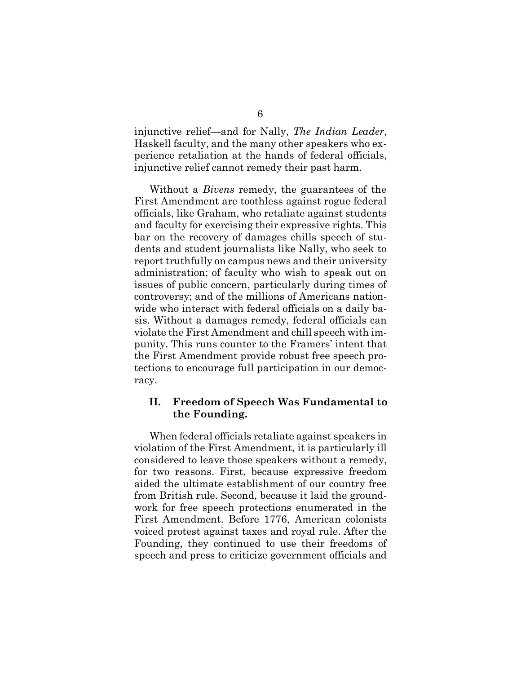injunctive relief—and for Nally, *The Indian Leader*, Haskell faculty, and the many other speakers who experience retaliation at the hands of federal officials, injunctive relief cannot remedy their past harm.

Without a *Bivens* remedy, the guarantees of the First Amendment are toothless against rogue federal officials, like Graham, who retaliate against students and faculty for exercising their expressive rights. This bar on the recovery of damages chills speech of students and student journalists like Nally, who seek to report truthfully on campus news and their university administration; of faculty who wish to speak out on issues of public concern, particularly during times of controversy; and of the millions of Americans nationwide who interact with federal officials on a daily basis. Without a damages remedy, federal officials can violate the First Amendment and chill speech with impunity. This runs counter to the Framers' intent that the First Amendment provide robust free speech protections to encourage full participation in our democracy.

### **II. Freedom of Speech Was Fundamental to the Founding.**

When federal officials retaliate against speakers in violation of the First Amendment, it is particularly ill considered to leave those speakers without a remedy, for two reasons. First, because expressive freedom aided the ultimate establishment of our country free from British rule. Second, because it laid the groundwork for free speech protections enumerated in the First Amendment. Before 1776, American colonists voiced protest against taxes and royal rule. After the Founding, they continued to use their freedoms of speech and press to criticize government officials and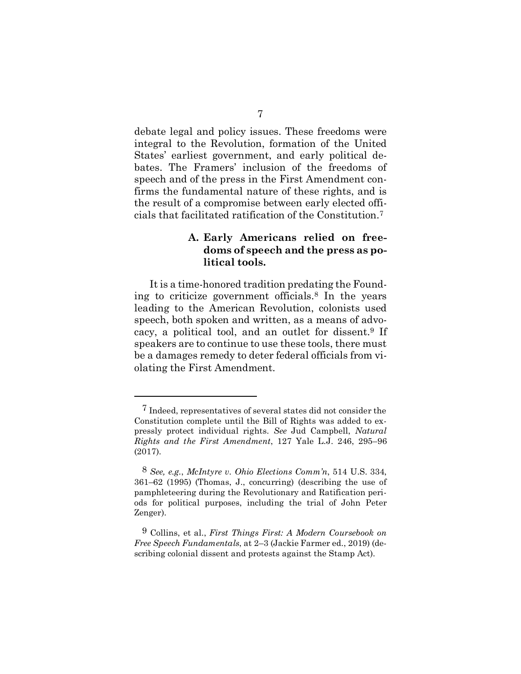debate legal and policy issues. These freedoms were integral to the Revolution, formation of the United States' earliest government, and early political debates. The Framers' inclusion of the freedoms of speech and of the press in the First Amendment confirms the fundamental nature of these rights, and is the result of a compromise between early elected officials that facilitated ratification of the Constitution.[7](#page-18-0)

## **A. Early Americans relied on freedoms of speech and the press as political tools.**

It is a time-honored tradition predating the Founding to criticize government officials.[8](#page-18-1) In the years leading to the American Revolution, colonists used speech, both spoken and written, as a means of advocacy, a political tool, and an outlet for dissent[.9](#page-18-2) If speakers are to continue to use these tools, there must be a damages remedy to deter federal officials from violating the First Amendment.

<span id="page-18-0"></span><sup>7</sup> Indeed, representatives of several states did not consider the Constitution complete until the Bill of Rights was added to expressly protect individual rights. *See* Jud Campbell, *Natural Rights and the First Amendment*, 127 Yale L.J. 246, 295–96 (2017).

<span id="page-18-1"></span><sup>8</sup> *See, e.g.*, *McIntyre v. Ohio Elections Comm'n*, 514 U.S. 334, 361–62 (1995) (Thomas, J., concurring) (describing the use of pamphleteering during the Revolutionary and Ratification periods for political purposes, including the trial of John Peter Zenger).

<span id="page-18-2"></span><sup>9</sup> Collins, et al., *First Things First: A Modern Coursebook on Free Speech Fundamentals*, at 2–3 (Jackie Farmer ed., 2019) (describing colonial dissent and protests against the Stamp Act).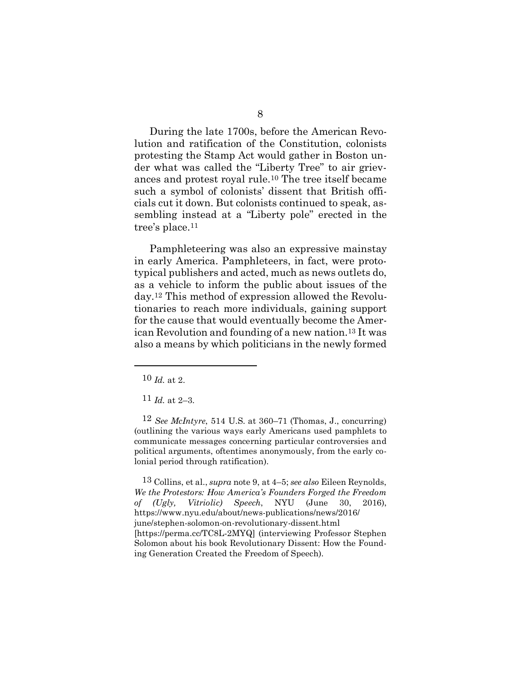During the late 1700s, before the American Revolution and ratification of the Constitution, colonists protesting the Stamp Act would gather in Boston under what was called the "Liberty Tree" to air grievances and protest royal rule.[10](#page-19-0) The tree itself became such a symbol of colonists' dissent that British officials cut it down. But colonists continued to speak, assembling instead at a "Liberty pole" erected in the tree's place.[11](#page-19-1)

Pamphleteering was also an expressive mainstay in early America. Pamphleteers, in fact, were prototypical publishers and acted, much as news outlets do, as a vehicle to inform the public about issues of the day.[12](#page-19-2) This method of expression allowed the Revolutionaries to reach more individuals, gaining support for the cause that would eventually become the American Revolution and founding of a new nation.[13](#page-19-3) It was also a means by which politicians in the newly formed

<span id="page-19-3"></span>13 Collins, et al., *supra* note 9, at 4–5; *see also* Eileen Reynolds, *We the Protestors: How America's Founders Forged the Freedom of (Ugly, Vitriolic) Speech*, NYU (June 30, 2016), https://www.nyu.edu/about/news-publications/news/2016/ june/stephen-solomon-on-revolutionary-dissent.html [https://perma.cc/TC8L-2MYQ] (interviewing Professor Stephen Solomon about his book Revolutionary Dissent: How the Founding Generation Created the Freedom of Speech).

<span id="page-19-0"></span><sup>10</sup> *Id.* at 2.

 $11$  *Id.* at 2–3.

<span id="page-19-2"></span><span id="page-19-1"></span><sup>12</sup> *See McIntyre*, 514 U.S. at 360–71 (Thomas, J., concurring) (outlining the various ways early Americans used pamphlets to communicate messages concerning particular controversies and political arguments, oftentimes anonymously, from the early colonial period through ratification).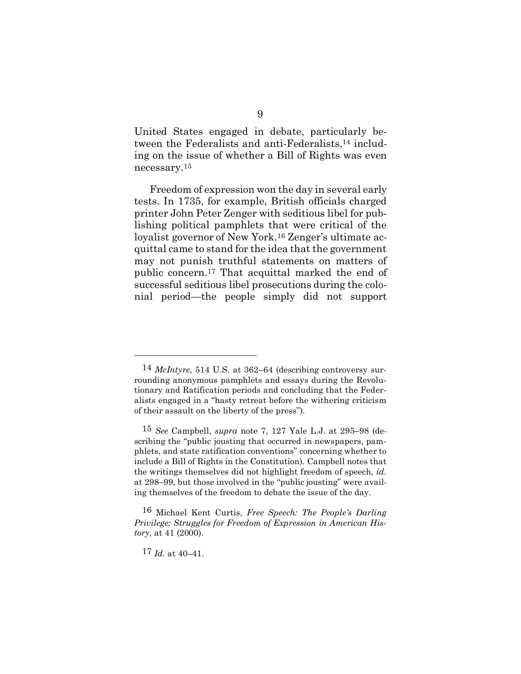United States engaged in debate, particularly between the Federalists and anti-Federalists,[14](#page-20-0) including on the issue of whether a Bill of Rights was even necessary.[15](#page-20-1)

Freedom of expression won the day in several early tests. In 1735, for example, British officials charged printer John Peter Zenger with seditious libel for publishing political pamphlets that were critical of the loyalist governor of New York.[16](#page-20-2) Zenger's ultimate acquittal came to stand for the idea that the government may not punish truthful statements on matters of public concern.[17](#page-20-3) That acquittal marked the end of successful seditious libel prosecutions during the colonial period—the people simply did not support

17 *Id.* at 40–41.

<span id="page-20-0"></span><sup>14</sup> *McIntyre*, 514 U.S. at 362–64 (describing controversy surrounding anonymous pamphlets and essays during the Revolutionary and Ratification periods and concluding that the Federalists engaged in a "hasty retreat before the withering criticism of their assault on the liberty of the press").

<span id="page-20-1"></span><sup>15</sup> *See* Campbell, *supra* note 7, 127 Yale L.J. at 295–98 (describing the "public jousting that occurred in newspapers, pamphlets, and state ratification conventions" concerning whether to include a Bill of Rights in the Constitution). Campbell notes that the writings themselves did not highlight freedom of speech, *id.* at 298–99, but those involved in the "public jousting" were availing themselves of the freedom to debate the issue of the day.

<span id="page-20-3"></span><span id="page-20-2"></span><sup>16</sup> Michael Kent Curtis, *Free Speech: The People's Darling Privilege: Struggles for Freedom of Expression in American History*, at 41 (2000).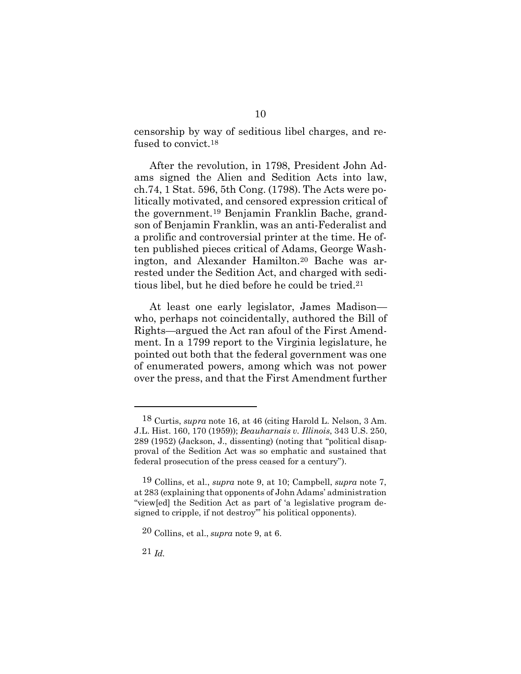censorship by way of seditious libel charges, and refused to convict.[18](#page-21-0)

After the revolution, in 1798, President John Adams signed the Alien and Sedition Acts into law, ch.74, 1 Stat. 596, 5th Cong. (1798). The Acts were politically motivated, and censored expression critical of the government.[19](#page-21-1) Benjamin Franklin Bache, grandson of Benjamin Franklin, was an anti-Federalist and a prolific and controversial printer at the time. He often published pieces critical of Adams, George Washington, and Alexander Hamilton.[20](#page-21-2) Bache was arrested under the Sedition Act, and charged with seditious libel, but he died before he could be tried.[21](#page-21-3)

At least one early legislator, James Madison who, perhaps not coincidentally, authored the Bill of Rights—argued the Act ran afoul of the First Amendment. In a 1799 report to the Virginia legislature, he pointed out both that the federal government was one of enumerated powers, among which was not power over the press, and that the First Amendment further

<span id="page-21-3"></span>21 *Id.*

<span id="page-21-0"></span><sup>18</sup> Curtis, *supra* note 16, at 46 (citing Harold L. Nelson, 3 Am. J.L. Hist. 160, 170 (1959)); *Beauharnais v. Illinois*, 343 U.S. 250, 289 (1952) (Jackson, J., dissenting) (noting that "political disapproval of the Sedition Act was so emphatic and sustained that federal prosecution of the press ceased for a century").

<span id="page-21-1"></span><sup>19</sup> Collins, et al., *supra* note 9, at 10; Campbell, *supra* note 7, at 283 (explaining that opponents of John Adams' administration "view[ed] the Sedition Act as part of 'a legislative program designed to cripple, if not destroy'" his political opponents).

<span id="page-21-2"></span><sup>20</sup> Collins, et al., *supra* note 9, at 6.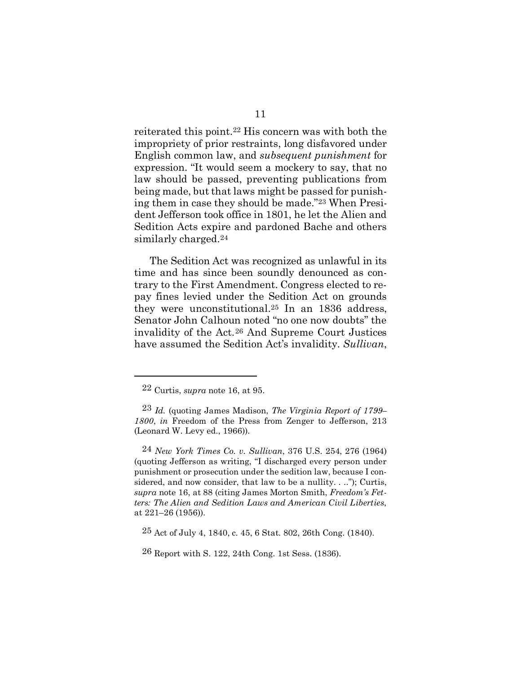reiterated this point.[22](#page-22-0) His concern was with both the impropriety of prior restraints, long disfavored under English common law, and *subsequent punishment* for expression. "It would seem a mockery to say, that no law should be passed, preventing publications from being made, but that laws might be passed for punishing them in case they should be made."[23](#page-22-1) When President Jefferson took office in 1801, he let the Alien and Sedition Acts expire and pardoned Bache and others similarly charged.[24](#page-22-2)

The Sedition Act was recognized as unlawful in its time and has since been soundly denounced as contrary to the First Amendment. Congress elected to repay fines levied under the Sedition Act on grounds they were unconstitutional.[25](#page-22-3) In an 1836 address, Senator John Calhoun noted "no one now doubts" the invalidity of the Act.[26](#page-22-4) And Supreme Court Justices have assumed the Sedition Act's invalidity. *Sullivan*,

<span id="page-22-2"></span>24 *New York Times Co. v. Sullivan*, 376 U.S. 254, 276 (1964) (quoting Jefferson as writing, "I discharged every person under punishment or prosecution under the sedition law, because I considered, and now consider, that law to be a nullity. . .."); Curtis, *supra* note 16, at 88 (citing James Morton Smith, *Freedom's Fetters: The Alien and Sedition Laws and American Civil Liberties*, at 221–26 (1956)).

<sup>22</sup> Curtis, *supra* note 16, at 95.

<span id="page-22-1"></span><span id="page-22-0"></span><sup>23</sup> *Id.* (quoting James Madison, *The Virginia Report of 1799– 1800*, *in* Freedom of the Press from Zenger to Jefferson, 213 (Leonard W. Levy ed., 1966)).

<span id="page-22-3"></span><sup>25</sup> Act of July 4, 1840, c. 45, 6 Stat. 802, 26th Cong. (1840).

<span id="page-22-4"></span><sup>26</sup> Report with S. 122, 24th Cong. 1st Sess. (1836).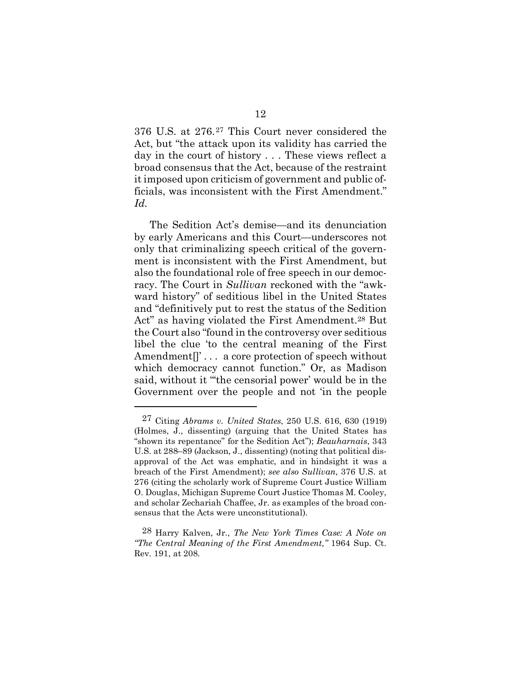376 U.S. at 276.[27](#page-23-0) This Court never considered the Act, but "the attack upon its validity has carried the day in the court of history . . . These views reflect a broad consensus that the Act, because of the restraint it imposed upon criticism of government and public officials, was inconsistent with the First Amendment." *Id.*

The Sedition Act's demise—and its denunciation by early Americans and this Court—underscores not only that criminalizing speech critical of the government is inconsistent with the First Amendment, but also the foundational role of free speech in our democracy. The Court in *Sullivan* reckoned with the "awkward history" of seditious libel in the United States and "definitively put to rest the status of the Sedition Act" as having violated the First Amendment.<sup>28</sup> But the Court also "found in the controversy over seditious libel the clue 'to the central meaning of the First Amendment<sup>[]</sup>'... a core protection of speech without which democracy cannot function." Or, as Madison said, without it "'the censorial power' would be in the Government over the people and not 'in the people

<span id="page-23-0"></span><sup>27</sup> Citing *Abrams v. United States*, 250 U.S. 616, 630 (1919) (Holmes, J., dissenting) (arguing that the United States has "shown its repentance" for the Sedition Act"); *Beauharnais*, 343 U.S. at 288–89 (Jackson, J., dissenting) (noting that political disapproval of the Act was emphatic, and in hindsight it was a breach of the First Amendment); *see also Sullivan*, 376 U.S. at 276 (citing the scholarly work of Supreme Court Justice William O. Douglas, Michigan Supreme Court Justice Thomas M. Cooley, and scholar Zechariah Chaffee, Jr. as examples of the broad consensus that the Acts were unconstitutional).

<span id="page-23-1"></span><sup>28</sup> Harry Kalven, Jr., *The New York Times Case: A Note on "The Central Meaning of the First Amendment,"* 1964 Sup. Ct. Rev. 191, at 208.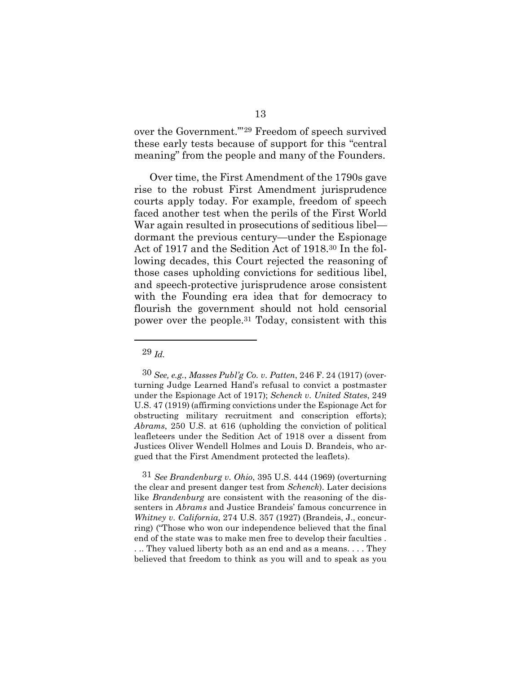over the Government.'"[29](#page-24-0) Freedom of speech survived these early tests because of support for this "central meaning" from the people and many of the Founders.

Over time, the First Amendment of the 1790s gave rise to the robust First Amendment jurisprudence courts apply today. For example, freedom of speech faced another test when the perils of the First World War again resulted in prosecutions of seditious libel dormant the previous century—under the Espionage Act of 1917 and the Sedition Act of 1918.[30](#page-24-1) In the following decades, this Court rejected the reasoning of those cases upholding convictions for seditious libel, and speech-protective jurisprudence arose consistent with the Founding era idea that for democracy to flourish the government should not hold censorial power over the people.[31](#page-24-2) Today, consistent with this

29 *Id.*

<span id="page-24-1"></span><span id="page-24-0"></span><sup>30</sup> *See, e.g.*, *Masses Publ'g Co. v. Patten*, 246 F. 24 (1917) (overturning Judge Learned Hand's refusal to convict a postmaster under the Espionage Act of 1917); *Schenck v. United States*, 249 U.S. 47 (1919) (affirming convictions under the Espionage Act for obstructing military recruitment and conscription efforts); *Abrams*, 250 U.S. at 616 (upholding the conviction of political leafleteers under the Sedition Act of 1918 over a dissent from Justices Oliver Wendell Holmes and Louis D. Brandeis, who argued that the First Amendment protected the leaflets).

<span id="page-24-2"></span><sup>31</sup> *See Brandenburg v. Ohio*, 395 U.S. 444 (1969) (overturning the clear and present danger test from *Schenck*). Later decisions like *Brandenburg* are consistent with the reasoning of the dissenters in *Abrams* and Justice Brandeis' famous concurrence in *Whitney v. California*, 274 U.S. 357 (1927) (Brandeis, J., concurring) ("Those who won our independence believed that the final end of the state was to make men free to develop their faculties . . .. They valued liberty both as an end and as a means. . . . They believed that freedom to think as you will and to speak as you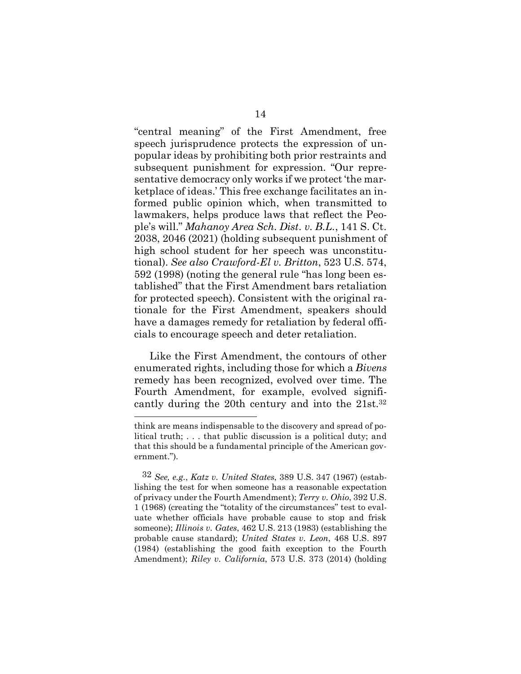"central meaning" of the First Amendment, free speech jurisprudence protects the expression of unpopular ideas by prohibiting both prior restraints and subsequent punishment for expression. "Our representative democracy only works if we protect 'the marketplace of ideas.' This free exchange facilitates an informed public opinion which, when transmitted to lawmakers, helps produce laws that reflect the People's will." *Mahanoy Area Sch. Dist. v. B.L.*, 141 S. Ct. 2038, 2046 (2021) (holding subsequent punishment of high school student for her speech was unconstitutional). *See also Crawford-El v. Britton*, 523 U.S. 574, 592 (1998) (noting the general rule "has long been established" that the First Amendment bars retaliation for protected speech). Consistent with the original rationale for the First Amendment, speakers should have a damages remedy for retaliation by federal officials to encourage speech and deter retaliation.

Like the First Amendment, the contours of other enumerated rights, including those for which a *Bivens* remedy has been recognized, evolved over time. The Fourth Amendment, for example, evolved significantly during the 20th century and into the 21st[.32](#page-25-0)

think are means indispensable to the discovery and spread of political truth; . . . that public discussion is a political duty; and that this should be a fundamental principle of the American government.").

<span id="page-25-0"></span><sup>32</sup> *See, e.g.*, *Katz v. United States*, 389 U.S. 347 (1967) (establishing the test for when someone has a reasonable expectation of privacy under the Fourth Amendment); *Terry v. Ohio*, 392 U.S. 1 (1968) (creating the "totality of the circumstances" test to evaluate whether officials have probable cause to stop and frisk someone); *Illinois v. Gates*, 462 U.S. 213 (1983) (establishing the probable cause standard); *United States v. Leon*, 468 U.S. 897 (1984) (establishing the good faith exception to the Fourth Amendment); *Riley v. California*, 573 U.S. 373 (2014) (holding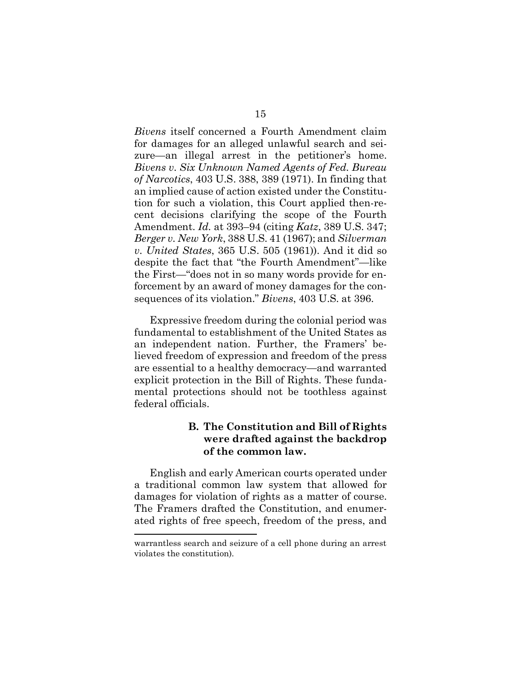*Bivens* itself concerned a Fourth Amendment claim for damages for an alleged unlawful search and seizure—an illegal arrest in the petitioner's home. *Bivens v. Six Unknown Named Agents of Fed. Bureau of Narcotics*, 403 U.S. 388, 389 (1971). In finding that an implied cause of action existed under the Constitution for such a violation, this Court applied then-recent decisions clarifying the scope of the Fourth Amendment. *Id.* at 393–94 (citing *Katz*, 389 U.S. 347; *Berger v. New York*, 388 U.S. 41 (1967); and *Silverman v. United States*, 365 U.S. 505 (1961)). And it did so despite the fact that "the Fourth Amendment"—like the First—"does not in so many words provide for enforcement by an award of money damages for the consequences of its violation." *Bivens*, 403 U.S. at 396.

Expressive freedom during the colonial period was fundamental to establishment of the United States as an independent nation. Further, the Framers' believed freedom of expression and freedom of the press are essential to a healthy democracy—and warranted explicit protection in the Bill of Rights. These fundamental protections should not be toothless against federal officials.

# **B. The Constitution and Bill of Rights were drafted against the backdrop of the common law.**

English and early American courts operated under a traditional common law system that allowed for damages for violation of rights as a matter of course. The Framers drafted the Constitution, and enumerated rights of free speech, freedom of the press, and

warrantless search and seizure of a cell phone during an arrest violates the constitution).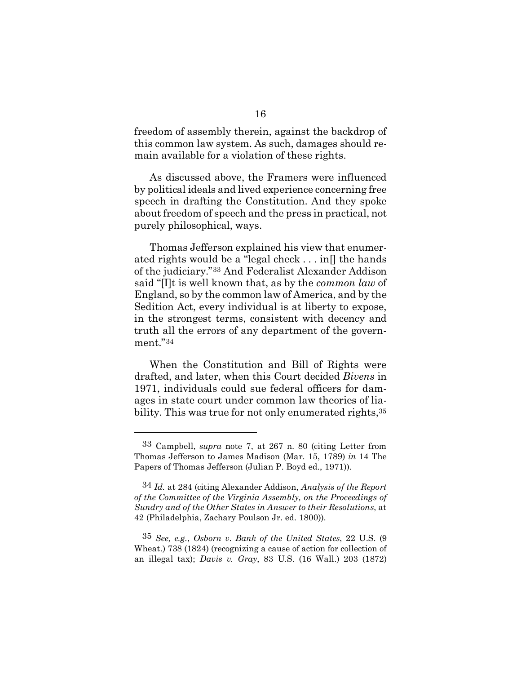freedom of assembly therein, against the backdrop of this common law system. As such, damages should remain available for a violation of these rights.

As discussed above, the Framers were influenced by political ideals and lived experience concerning free speech in drafting the Constitution. And they spoke about freedom of speech and the press in practical, not purely philosophical, ways.

Thomas Jefferson explained his view that enumerated rights would be a "legal check . . . in[] the hands of the judiciary."[33](#page-27-0) And Federalist Alexander Addison said "[I]t is well known that, as by the *common law* of England, so by the common law of America, and by the Sedition Act, every individual is at liberty to expose, in the strongest terms, consistent with decency and truth all the errors of any department of the government."[34](#page-27-1)

When the Constitution and Bill of Rights were drafted, and later, when this Court decided *Bivens* in 1971, individuals could sue federal officers for damages in state court under common law theories of liability. This was true for not only enumerated rights,  $35$ 

<span id="page-27-2"></span>35 *See, e.g.*, *Osborn v. Bank of the United States*, 22 U.S. (9 Wheat.) 738 (1824) (recognizing a cause of action for collection of an illegal tax); *Davis v. Gray*, 83 U.S. (16 Wall.) 203 (1872)

<span id="page-27-0"></span><sup>33</sup> Campbell, *supra* note 7, at 267 n. 80 (citing Letter from Thomas Jefferson to James Madison (Mar. 15, 1789) *in* 14 The Papers of Thomas Jefferson (Julian P. Boyd ed., 1971)).

<span id="page-27-1"></span><sup>34</sup> *Id.* at 284 (citing Alexander Addison, *Analysis of the Report of the Committee of the Virginia Assembly, on the Proceedings of Sundry and of the Other States in Answer to their Resolutions*, at 42 (Philadelphia, Zachary Poulson Jr. ed. 1800)).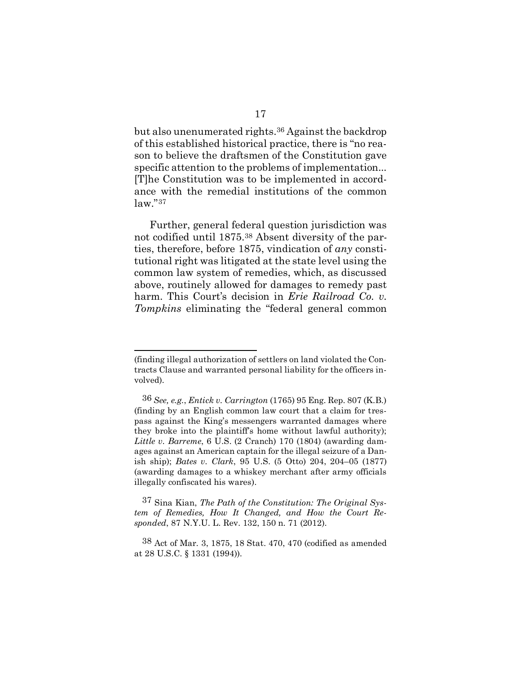but also unenumerated rights[.36](#page-28-0) Against the backdrop of this established historical practice, there is "no reason to believe the draftsmen of the Constitution gave specific attention to the problems of implementation... [T]he Constitution was to be implemented in accordance with the remedial institutions of the common law."[37](#page-28-1)

Further, general federal question jurisdiction was not codified until 1875.[38](#page-28-2) Absent diversity of the parties, therefore, before 1875, vindication of *any* constitutional right was litigated at the state level using the common law system of remedies, which, as discussed above, routinely allowed for damages to remedy past harm. This Court's decision in *Erie Railroad Co. v. Tompkins* eliminating the "federal general common

<sup>(</sup>finding illegal authorization of settlers on land violated the Contracts Clause and warranted personal liability for the officers involved).

<span id="page-28-0"></span><sup>36</sup> *See, e.g.*, *Entick v. Carrington* (1765) 95 Eng. Rep. 807 (K.B.) (finding by an English common law court that a claim for trespass against the King's messengers warranted damages where they broke into the plaintiff's home without lawful authority); *Little v. Barreme*, 6 U.S. (2 Cranch) 170 (1804) (awarding damages against an American captain for the illegal seizure of a Danish ship); *Bates v. Clark*, 95 U.S. (5 Otto) 204, 204–05 (1877) (awarding damages to a whiskey merchant after army officials illegally confiscated his wares).

<span id="page-28-1"></span><sup>37</sup> Sina Kian, *The Path of the Constitution: The Original System of Remedies, How It Changed, and How the Court Responded*, 87 N.Y.U. L. Rev. 132, 150 n. 71 (2012).

<span id="page-28-2"></span><sup>38</sup> Act of Mar. 3, 1875, 18 Stat. 470, 470 (codified as amended at 28 U.S.C. § 1331 (1994)).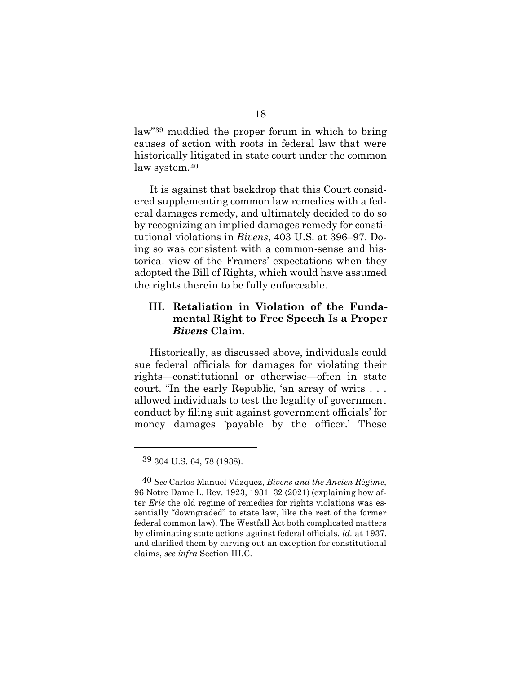law"[39](#page-29-0) muddied the proper forum in which to bring causes of action with roots in federal law that were historically litigated in state court under the common law system.[40](#page-29-1)

It is against that backdrop that this Court considered supplementing common law remedies with a federal damages remedy, and ultimately decided to do so by recognizing an implied damages remedy for constitutional violations in *Bivens*, 403 U.S. at 396–97. Doing so was consistent with a common-sense and historical view of the Framers' expectations when they adopted the Bill of Rights, which would have assumed the rights therein to be fully enforceable.

## **III. Retaliation in Violation of the Fundamental Right to Free Speech Is a Proper**  *Bivens* **Claim.**

Historically, as discussed above, individuals could sue federal officials for damages for violating their rights—constitutional or otherwise—often in state court. "In the early Republic, 'an array of writs . . . allowed individuals to test the legality of government conduct by filing suit against government officials' for money damages 'payable by the officer.' These

<sup>39</sup> 304 U.S. 64, 78 (1938).

<span id="page-29-1"></span><span id="page-29-0"></span><sup>40</sup> *See* Carlos Manuel Vázquez, *Bivens and the Ancien R*é*gime*, 96 Notre Dame L. Rev. 1923, 1931–32 (2021) (explaining how after *Erie* the old regime of remedies for rights violations was essentially "downgraded" to state law, like the rest of the former federal common law). The Westfall Act both complicated matters by eliminating state actions against federal officials, *id.* at 1937, and clarified them by carving out an exception for constitutional claims, *see infra* Section III.C.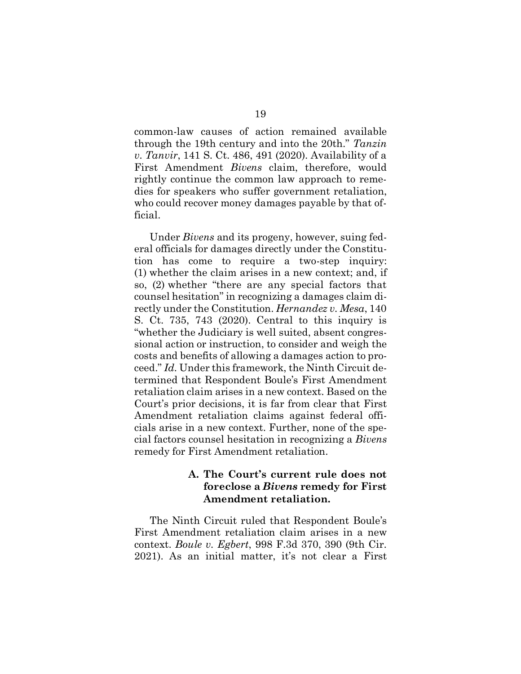common-law causes of action remained available through the 19th century and into the 20th." *Tanzin v. Tanvir*, 141 S. Ct. 486, 491 (2020). Availability of a First Amendment *Bivens* claim, therefore, would rightly continue the common law approach to remedies for speakers who suffer government retaliation, who could recover money damages payable by that official.

Under *Bivens* and its progeny, however, suing federal officials for damages directly under the Constitution has come to require a two-step inquiry: (1) whether the claim arises in a new context; and, if so, (2) whether "there are any special factors that counsel hesitation" in recognizing a damages claim directly under the Constitution. *Hernandez v. Mesa*, 140 S. Ct. 735, 743 (2020). Central to this inquiry is "whether the Judiciary is well suited, absent congressional action or instruction, to consider and weigh the costs and benefits of allowing a damages action to proceed." *Id.* Under this framework, the Ninth Circuit determined that Respondent Boule's First Amendment retaliation claim arises in a new context. Based on the Court's prior decisions, it is far from clear that First Amendment retaliation claims against federal officials arise in a new context. Further, none of the special factors counsel hesitation in recognizing a *Bivens*  remedy for First Amendment retaliation.

## **A. The Court's current rule does not foreclose a** *Bivens* **remedy for First Amendment retaliation.**

The Ninth Circuit ruled that Respondent Boule's First Amendment retaliation claim arises in a new context. *Boule v. Egbert*, 998 F.3d 370, 390 (9th Cir. 2021). As an initial matter, it's not clear a First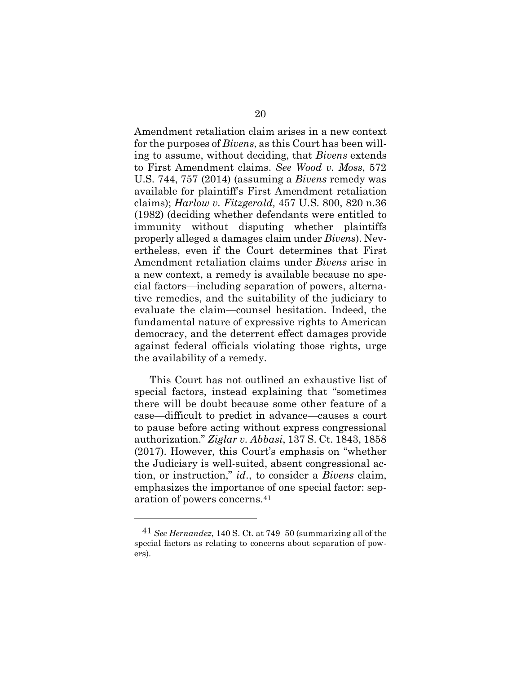Amendment retaliation claim arises in a new context for the purposes of *Bivens*, as this Court has been willing to assume, without deciding, that *Bivens* extends to First Amendment claims. *See Wood v. Moss*, 572 U.S. 744, 757 (2014) (assuming a *Bivens* remedy was available for plaintiff's First Amendment retaliation claims); *Harlow v. Fitzgerald,* 457 U.S. 800, 820 n.36 (1982) (deciding whether defendants were entitled to immunity without disputing whether plaintiffs properly alleged a damages claim under *Bivens*). Nevertheless, even if the Court determines that First Amendment retaliation claims under *Bivens* arise in a new context, a remedy is available because no special factors—including separation of powers, alternative remedies, and the suitability of the judiciary to evaluate the claim—counsel hesitation. Indeed, the fundamental nature of expressive rights to American democracy, and the deterrent effect damages provide against federal officials violating those rights, urge the availability of a remedy.

This Court has not outlined an exhaustive list of special factors, instead explaining that "sometimes there will be doubt because some other feature of a case—difficult to predict in advance—causes a court to pause before acting without express congressional authorization." *Ziglar v. Abbasi*, 137 S. Ct. 1843, 1858 (2017). However, this Court's emphasis on "whether the Judiciary is well-suited, absent congressional action, or instruction," *id*., to consider a *Bivens* claim, emphasizes the importance of one special factor: separation of powers concerns.[41](#page-31-0) 

<span id="page-31-0"></span><sup>41</sup> *See Hernandez*, 140 S. Ct. at 749–50 (summarizing all of the special factors as relating to concerns about separation of powers).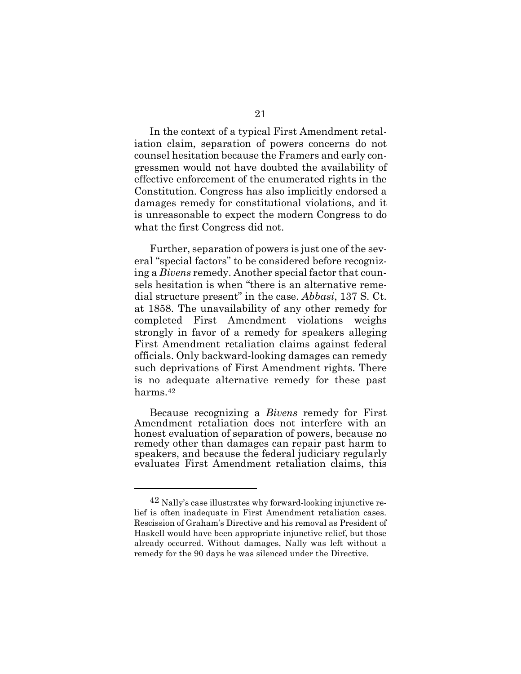In the context of a typical First Amendment retaliation claim, separation of powers concerns do not counsel hesitation because the Framers and early congressmen would not have doubted the availability of effective enforcement of the enumerated rights in the Constitution. Congress has also implicitly endorsed a damages remedy for constitutional violations, and it is unreasonable to expect the modern Congress to do what the first Congress did not.

Further, separation of powers is just one of the several "special factors" to be considered before recognizing a *Bivens* remedy. Another special factor that counsels hesitation is when "there is an alternative remedial structure present" in the case. *Abbasi*, 137 S. Ct. at 1858. The unavailability of any other remedy for completed First Amendment violations weighs strongly in favor of a remedy for speakers alleging First Amendment retaliation claims against federal officials. Only backward-looking damages can remedy such deprivations of First Amendment rights. There is no adequate alternative remedy for these past harms[.42](#page-32-0)

Because recognizing a *Bivens* remedy for First Amendment retaliation does not interfere with an honest evaluation of separation of powers, because no remedy other than damages can repair past harm to speakers, and because the federal judiciary regularly evaluates First Amendment retaliation claims, this

<span id="page-32-0"></span><sup>42</sup> Nally's case illustrates why forward-looking injunctive relief is often inadequate in First Amendment retaliation cases. Rescission of Graham's Directive and his removal as President of Haskell would have been appropriate injunctive relief, but those already occurred. Without damages, Nally was left without a remedy for the 90 days he was silenced under the Directive.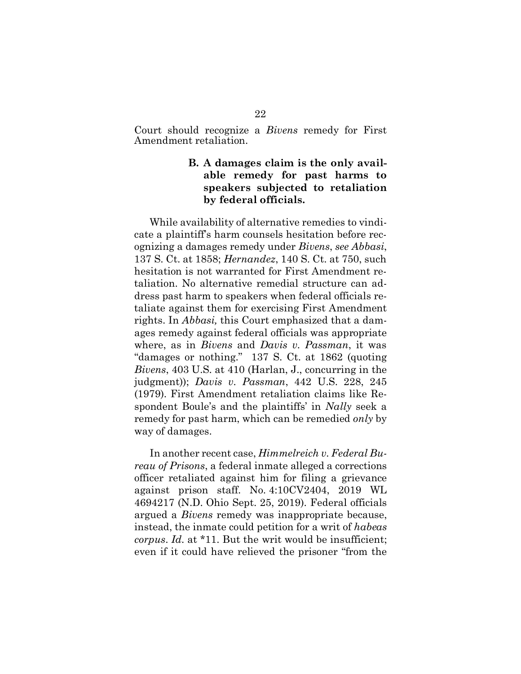Court should recognize a *Bivens* remedy for First Amendment retaliation.

# **B. A damages claim is the only available remedy for past harms to speakers subjected to retaliation by federal officials.**

While availability of alternative remedies to vindicate a plaintiff's harm counsels hesitation before recognizing a damages remedy under *Bivens*, *see Abbasi*, 137 S. Ct. at 1858; *Hernandez*, 140 S. Ct. at 750, such hesitation is not warranted for First Amendment retaliation. No alternative remedial structure can address past harm to speakers when federal officials retaliate against them for exercising First Amendment rights. In *Abbasi,* this Court emphasized that a damages remedy against federal officials was appropriate where, as in *Bivens* and *Davis v. Passman*, it was "damages or nothing." 137 S. Ct. at 1862 (quoting *Bivens*, 403 U.S. at 410 (Harlan, J., concurring in the judgment)); *Davis v. Passman*, 442 U.S. 228, 245 (1979). First Amendment retaliation claims like Respondent Boule's and the plaintiffs' in *Nally* seek a remedy for past harm, which can be remedied *only* by way of damages.

In another recent case, *Himmelreich v. Federal Bureau of Prisons*, a federal inmate alleged a corrections officer retaliated against him for filing a grievance against prison staff. No. 4:10CV2404, 2019 WL 4694217 (N.D. Ohio Sept. 25, 2019). Federal officials argued a *Bivens* remedy was inappropriate because, instead, the inmate could petition for a writ of *habeas corpus*. *Id.* at \*11. But the writ would be insufficient; even if it could have relieved the prisoner "from the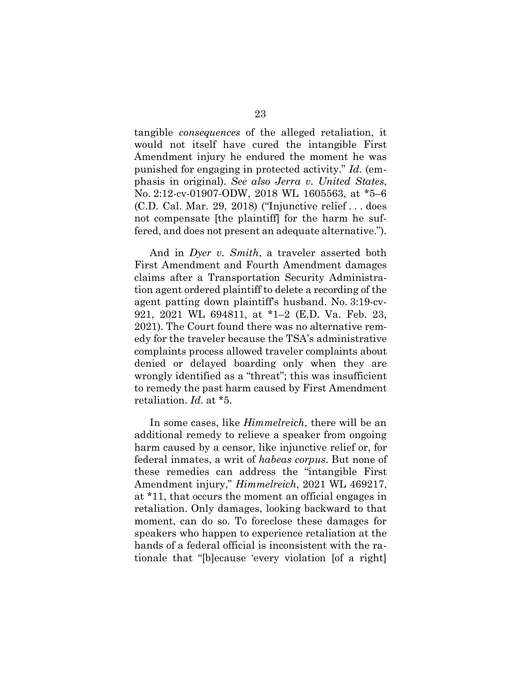tangible *consequences* of the alleged retaliation, it would not itself have cured the intangible First Amendment injury he endured the moment he was punished for engaging in protected activity." *Id.* (emphasis in original). *See also Jerra v. United States*, No. 2:12-cv-01907-ODW, 2018 WL 1605563, at \*5–6 (C.D. Cal. Mar. 29, 2018) ("Injunctive relief . . . does not compensate [the plaintiff] for the harm he suffered, and does not present an adequate alternative.").

And in *Dyer v. Smith*, a traveler asserted both First Amendment and Fourth Amendment damages claims after a Transportation Security Administration agent ordered plaintiff to delete a recording of the agent patting down plaintiff's husband. No. 3:19-cv-921, 2021 WL 694811, at \*1–2 (E.D. Va. Feb. 23, 2021). The Court found there was no alternative remedy for the traveler because the TSA's administrative complaints process allowed traveler complaints about denied or delayed boarding only when they are wrongly identified as a "threat"; this was insufficient to remedy the past harm caused by First Amendment retaliation. *Id.* at \*5.

In some cases, like *Himmelreich*, there will be an additional remedy to relieve a speaker from ongoing harm caused by a censor, like injunctive relief or, for federal inmates, a writ of *habeas corpus*. But none of these remedies can address the "intangible First Amendment injury," *Himmelreich*, 2021 WL 469217, at \*11, that occurs the moment an official engages in retaliation. Only damages, looking backward to that moment, can do so. To foreclose these damages for speakers who happen to experience retaliation at the hands of a federal official is inconsistent with the rationale that "[b]ecause 'every violation [of a right]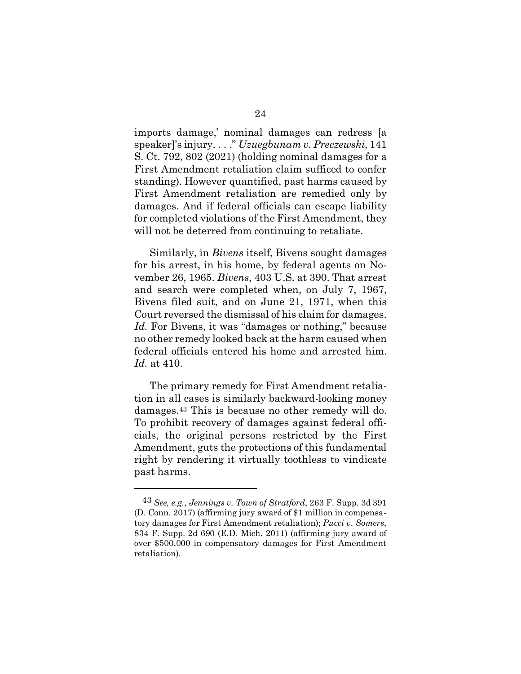imports damage,' nominal damages can redress [a speaker]'s injury. . . ." *Uzuegbunam v. Preczewski*, 141 S. Ct. 792, 802 (2021) (holding nominal damages for a First Amendment retaliation claim sufficed to confer standing). However quantified, past harms caused by First Amendment retaliation are remedied only by damages. And if federal officials can escape liability for completed violations of the First Amendment, they will not be deterred from continuing to retaliate.

Similarly, in *Bivens* itself, Bivens sought damages for his arrest, in his home, by federal agents on November 26, 1965. *Bivens*, 403 U.S. at 390. That arrest and search were completed when, on July 7, 1967, Bivens filed suit, and on June 21, 1971, when this Court reversed the dismissal of his claim for damages. *Id.* For Bivens, it was "damages or nothing," because no other remedy looked back at the harm caused when federal officials entered his home and arrested him. *Id.* at 410.

The primary remedy for First Amendment retaliation in all cases is similarly backward-looking money damages.[43](#page-35-0) This is because no other remedy will do. To prohibit recovery of damages against federal officials, the original persons restricted by the First Amendment, guts the protections of this fundamental right by rendering it virtually toothless to vindicate past harms.

<span id="page-35-0"></span><sup>43</sup> *See, e.g.*, *Jennings v. Town of Stratford*, 263 F. Supp. 3d 391 (D. Conn. 2017) (affirming jury award of \$1 million in compensatory damages for First Amendment retaliation); *Pucci v. Somers*, 834 F. Supp. 2d 690 (E.D. Mich. 2011) (affirming jury award of over \$500,000 in compensatory damages for First Amendment retaliation).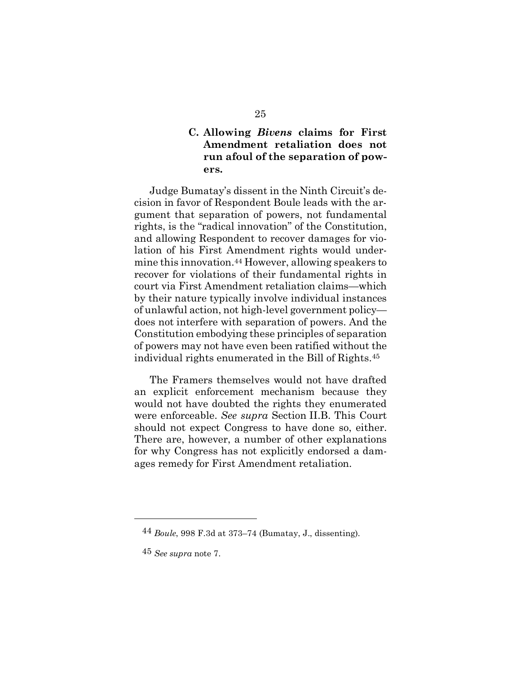## **C. Allowing** *Bivens* **claims for First Amendment retaliation does not run afoul of the separation of powers.**

Judge Bumatay's dissent in the Ninth Circuit's decision in favor of Respondent Boule leads with the argument that separation of powers, not fundamental rights, is the "radical innovation" of the Constitution, and allowing Respondent to recover damages for violation of his First Amendment rights would undermine this innovation.[44](#page-36-0) However, allowing speakers to recover for violations of their fundamental rights in court via First Amendment retaliation claims—which by their nature typically involve individual instances of unlawful action, not high-level government policy does not interfere with separation of powers. And the Constitution embodying these principles of separation of powers may not have even been ratified without the individual rights enumerated in the Bill of Rights[.45](#page-36-1)

The Framers themselves would not have drafted an explicit enforcement mechanism because they would not have doubted the rights they enumerated were enforceable. *See supra* Section II.B. This Court should not expect Congress to have done so, either. There are, however, a number of other explanations for why Congress has not explicitly endorsed a damages remedy for First Amendment retaliation.

<span id="page-36-0"></span><sup>44</sup> *Boule*, 998 F.3d at 373–74 (Bumatay, J., dissenting).

<span id="page-36-1"></span><sup>45</sup> *See supra* note 7.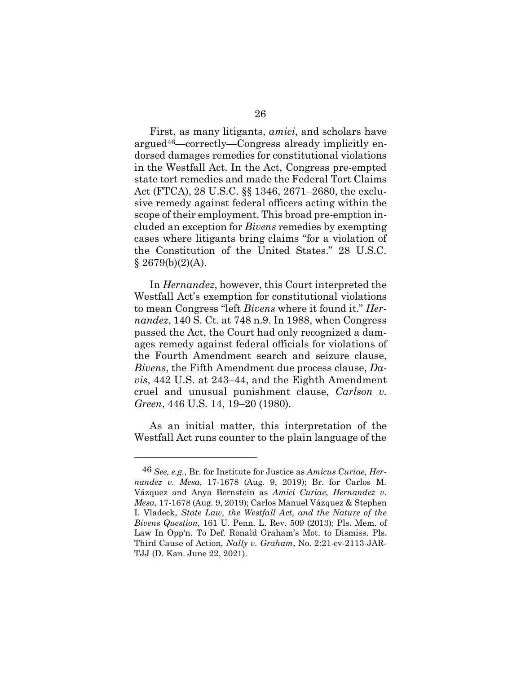First, as many litigants, *amici*, and scholars have argued[46](#page-37-0)—correctly—Congress already implicitly endorsed damages remedies for constitutional violations in the Westfall Act. In the Act, Congress pre-empted state tort remedies and made the Federal Tort Claims Act (FTCA), 28 U.S.C. §§ 1346, 2671–2680, the exclusive remedy against federal officers acting within the scope of their employment. This broad pre-emption included an exception for *Bivens* remedies by exempting cases where litigants bring claims "for a violation of the Constitution of the United States." 28 U.S.C.  $§ 2679(b)(2)(A).$ 

In *Hernandez*, however, this Court interpreted the Westfall Act's exemption for constitutional violations to mean Congress "left *Bivens* where it found it." *Hernandez*, 140 S. Ct. at 748 n.9. In 1988, when Congress passed the Act, the Court had only recognized a damages remedy against federal officials for violations of the Fourth Amendment search and seizure clause, *Bivens*, the Fifth Amendment due process clause, *Davis*, 442 U.S. at 243–44, and the Eighth Amendment cruel and unusual punishment clause, *Carlson v. Green*, 446 U.S. 14, 19–20 (1980).

As an initial matter, this interpretation of the Westfall Act runs counter to the plain language of the

<span id="page-37-0"></span><sup>46</sup> *See, e.g.*, Br. for Institute for Justice as *Amicus Curiae*, *Hernandez v. Mesa*, 17-1678 (Aug. 9, 2019); Br. for Carlos M. Vázquez and Anya Bernstein as *Amici Curiae*, *Hernandez v. Mesa*, 17-1678 (Aug. 9, 2019); Carlos Manuel Vázquez & Stephen I. Vladeck, *State Law, the Westfall Act, and the Nature of the Bivens Question*, 161 U. Penn. L. Rev. 509 (2013); Pls. Mem. of Law In Opp'n. To Def. Ronald Graham's Mot. to Dismiss. Pls. Third Cause of Action, *Nally v. Graham*, No. 2:21-cv-2113-JAR-TJJ (D. Kan. June 22, 2021).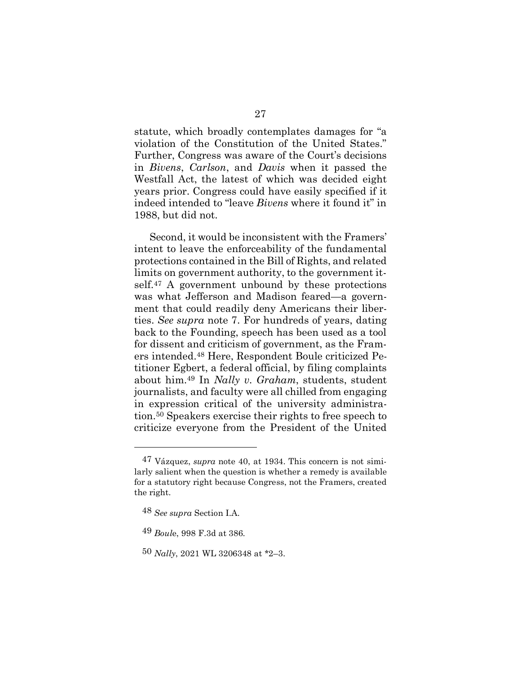statute, which broadly contemplates damages for "a violation of the Constitution of the United States." Further, Congress was aware of the Court's decisions in *Bivens*, *Carlson*, and *Davis* when it passed the Westfall Act, the latest of which was decided eight years prior. Congress could have easily specified if it indeed intended to "leave *Bivens* where it found it" in 1988, but did not.

Second, it would be inconsistent with the Framers' intent to leave the enforceability of the fundamental protections contained in the Bill of Rights, and related limits on government authority, to the government it-self.<sup>[47](#page-38-0)</sup> A government unbound by these protections was what Jefferson and Madison feared—a government that could readily deny Americans their liberties. *See supra* note 7. For hundreds of years, dating back to the Founding, speech has been used as a tool for dissent and criticism of government, as the Framers intended[.48](#page-38-1) Here, Respondent Boule criticized Petitioner Egbert, a federal official, by filing complaints about him.[49](#page-38-2) In *Nally v. Graham*, students, student journalists, and faculty were all chilled from engaging in expression critical of the university administration[.50](#page-38-3) Speakers exercise their rights to free speech to criticize everyone from the President of the United

<span id="page-38-0"></span><sup>47</sup> Vázquez, *supra* note 40, at 1934. This concern is not similarly salient when the question is whether a remedy is available for a statutory right because Congress, not the Framers, created the right.

<span id="page-38-1"></span><sup>48</sup> *See supra* Section I.A.

<span id="page-38-2"></span><sup>49</sup> *Boul*e, 998 F.3d at 386.

<span id="page-38-3"></span><sup>50</sup> *Nally*, 2021 WL 3206348 at \*2–3.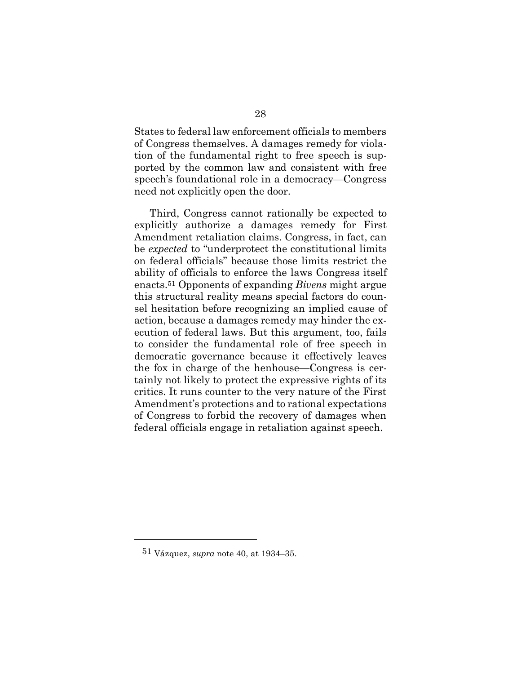States to federal law enforcement officials to members of Congress themselves. A damages remedy for violation of the fundamental right to free speech is supported by the common law and consistent with free speech's foundational role in a democracy—Congress need not explicitly open the door.

Third, Congress cannot rationally be expected to explicitly authorize a damages remedy for First Amendment retaliation claims. Congress, in fact, can be *expected* to "underprotect the constitutional limits on federal officials" because those limits restrict the ability of officials to enforce the laws Congress itself enacts[.51](#page-39-0) Opponents of expanding *Bivens* might argue this structural reality means special factors do counsel hesitation before recognizing an implied cause of action, because a damages remedy may hinder the execution of federal laws. But this argument, too, fails to consider the fundamental role of free speech in democratic governance because it effectively leaves the fox in charge of the henhouse—Congress is certainly not likely to protect the expressive rights of its critics. It runs counter to the very nature of the First Amendment's protections and to rational expectations of Congress to forbid the recovery of damages when federal officials engage in retaliation against speech.

<span id="page-39-0"></span><sup>51</sup> Vázquez, *supra* note 40, at 1934–35.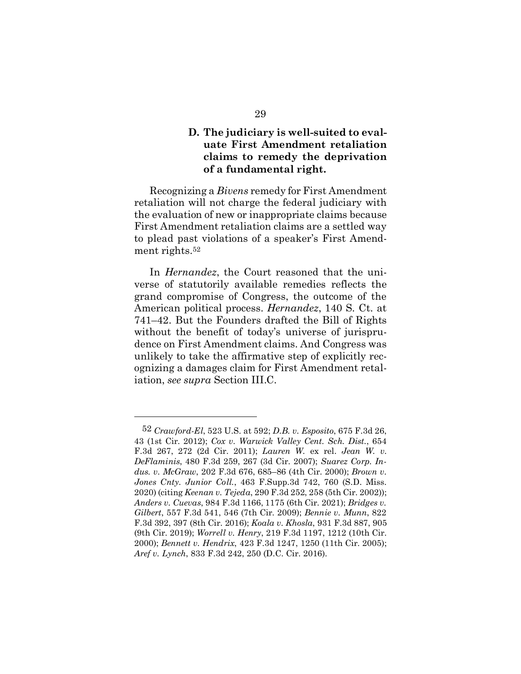## **D. The judiciary is well-suited to evaluate First Amendment retaliation claims to remedy the deprivation of a fundamental right.**

Recognizing a *Bivens* remedy for First Amendment retaliation will not charge the federal judiciary with the evaluation of new or inappropriate claims because First Amendment retaliation claims are a settled way to plead past violations of a speaker's First Amendment rights.[52](#page-40-0)

In *Hernandez*, the Court reasoned that the universe of statutorily available remedies reflects the grand compromise of Congress, the outcome of the American political process. *Hernandez*, 140 S. Ct. at 741–42. But the Founders drafted the Bill of Rights without the benefit of today's universe of jurisprudence on First Amendment claims. And Congress was unlikely to take the affirmative step of explicitly recognizing a damages claim for First Amendment retaliation, *see supra* Section III.C.

<span id="page-40-0"></span><sup>52</sup> *Crawford-El*, 523 U.S. at 592; *D.B. v. Esposito*, 675 F.3d 26, 43 (1st Cir. 2012); *Cox v. Warwick Valley Cent. Sch. Dist.*, 654 F.3d 267, 272 (2d Cir. 2011); *Lauren W.* ex rel. *Jean W. v. DeFlaminis*, 480 F.3d 259, 267 (3d Cir. 2007); *Suarez Corp. Indus. v. McGraw*, 202 F.3d 676, 685–86 (4th Cir. 2000); *Brown v. Jones Cnty. Junior Coll.*, 463 F.Supp.3d 742, 760 (S.D. Miss. 2020) (citing *Keenan v. Tejeda*, 290 F.3d 252, 258 (5th Cir. 2002)); *Anders v. Cuevas*, 984 F.3d 1166, 1175 (6th Cir. 2021); *Bridges v. Gilbert*, 557 F.3d 541, 546 (7th Cir. 2009); *Bennie v. Munn*, 822 F.3d 392, 397 (8th Cir. 2016); *Koala v. Khosla*, 931 F.3d 887, 905 (9th Cir. 2019); *Worrell v. Henry*, 219 F.3d 1197, 1212 (10th Cir. 2000); *Bennett v. Hendrix*, 423 F.3d 1247, 1250 (11th Cir. 2005); *Aref v. Lynch*, 833 F.3d 242, 250 (D.C. Cir. 2016).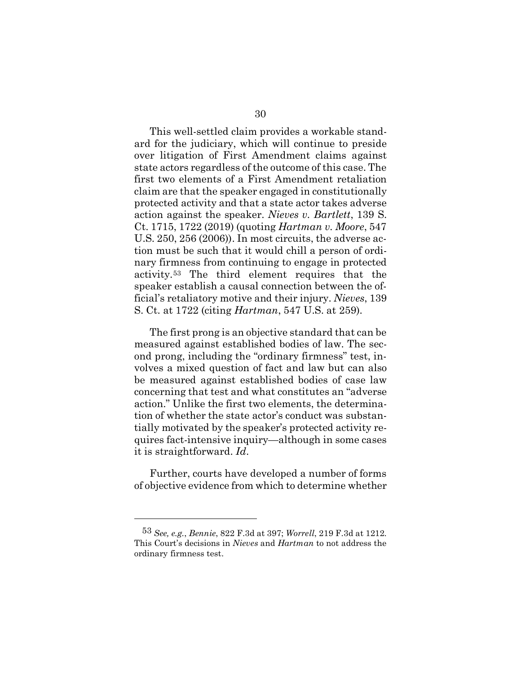This well-settled claim provides a workable standard for the judiciary, which will continue to preside over litigation of First Amendment claims against state actors regardless of the outcome of this case. The first two elements of a First Amendment retaliation claim are that the speaker engaged in constitutionally protected activity and that a state actor takes adverse action against the speaker. *Nieves v. Bartlett*, 139 S. Ct. 1715, 1722 (2019) (quoting *Hartman v. Moore*, 547 U.S. 250, 256 (2006)). In most circuits, the adverse action must be such that it would chill a person of ordinary firmness from continuing to engage in protected activity.[53](#page-41-0) The third element requires that the speaker establish a causal connection between the official's retaliatory motive and their injury. *Nieves*, 139 S. Ct. at 1722 (citing *Hartman*, 547 U.S. at 259).

The first prong is an objective standard that can be measured against established bodies of law. The second prong, including the "ordinary firmness" test, involves a mixed question of fact and law but can also be measured against established bodies of case law concerning that test and what constitutes an "adverse action." Unlike the first two elements, the determination of whether the state actor's conduct was substantially motivated by the speaker's protected activity requires fact-intensive inquiry—although in some cases it is straightforward. *Id*.

Further, courts have developed a number of forms of objective evidence from which to determine whether

<span id="page-41-0"></span><sup>53</sup> *See, e.g.*, *Bennie*, 822 F.3d at 397; *Worrell*, 219 F.3d at 1212. This Court's decisions in *Nieves* and *Hartman* to not address the ordinary firmness test.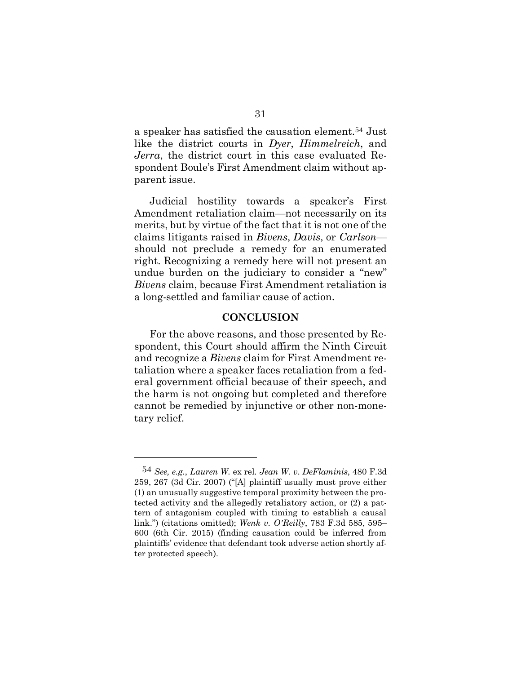a speaker has satisfied the causation element[.54](#page-42-0) Just like the district courts in *Dyer*, *Himmelreich*, and *Jerra*, the district court in this case evaluated Respondent Boule's First Amendment claim without apparent issue.

Judicial hostility towards a speaker's First Amendment retaliation claim—not necessarily on its merits, but by virtue of the fact that it is not one of the claims litigants raised in *Bivens*, *Davis*, or *Carlson* should not preclude a remedy for an enumerated right. Recognizing a remedy here will not present an undue burden on the judiciary to consider a "new" *Bivens* claim, because First Amendment retaliation is a long-settled and familiar cause of action.

#### **CONCLUSION**

For the above reasons, and those presented by Respondent, this Court should affirm the Ninth Circuit and recognize a *Bivens* claim for First Amendment retaliation where a speaker faces retaliation from a federal government official because of their speech, and the harm is not ongoing but completed and therefore cannot be remedied by injunctive or other non-monetary relief.

<span id="page-42-0"></span><sup>54</sup> *See, e.g.*, *Lauren W.* ex rel*. Jean W. v. DeFlaminis*, 480 F.3d 259, 267 (3d Cir. 2007) ("[A] plaintiff usually must prove either (1) an unusually suggestive temporal proximity between the protected activity and the allegedly retaliatory action, or (2) a pattern of antagonism coupled with timing to establish a causal link.") (citations omitted); *Wenk v. O'Reilly*, 783 F.3d 585, 595– 600 (6th Cir. 2015) (finding causation could be inferred from plaintiffs' evidence that defendant took adverse action shortly after protected speech).